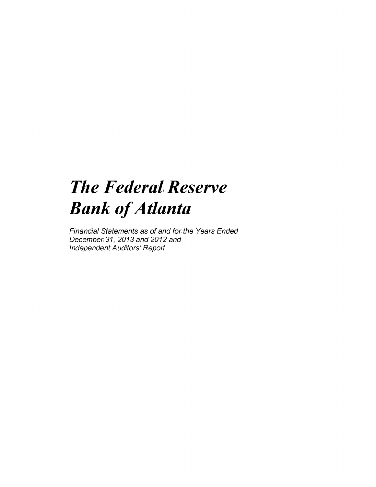# *The Federal Reserve Bank of Atlanta*

*Financial Statements as of and for the Years Ended December 31, 2013 and 2012 and Independent Auditors' Report*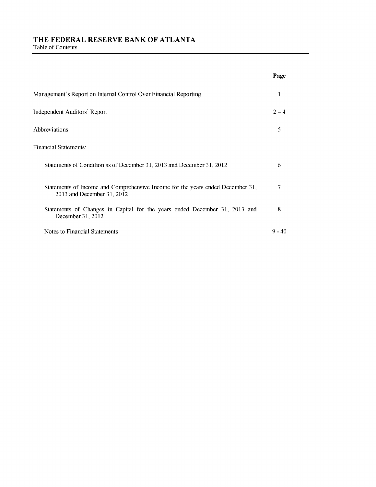# **THE FEDERAL RESERVE BANK OF ATLANTA**

Table of Contents

|                                                                                                              | Page     |
|--------------------------------------------------------------------------------------------------------------|----------|
| Management's Report on Internal Control Over Financial Reporting                                             | 1        |
| <b>Independent Auditors' Report</b>                                                                          | $2 - 4$  |
| Abbreviations                                                                                                | 5        |
| Financial Statements:                                                                                        |          |
| Statements of Condition as of December 31, 2013 and December 31, 2012                                        | 6        |
| Statements of Income and Comprehensive Income for the years ended December 31,<br>2013 and December 31, 2012 | 7        |
| Statements of Changes in Capital for the years ended December 31, 2013 and<br>December 31, 2012              | 8        |
| Notes to Financial Statements                                                                                | $9 - 40$ |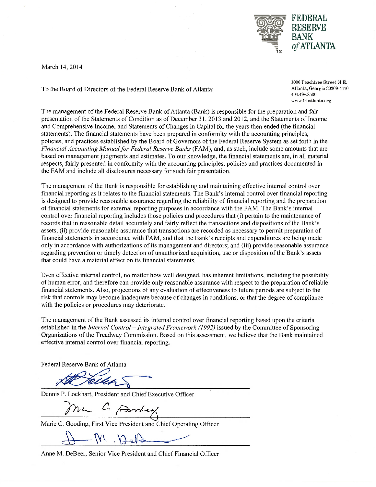

March 14,2014

To the Board of Directors of the Federal Reserve Bank of Atlanta:

1000 Peachtree Street N.E. Atlanta, Georgia 30309-4470 404.498.8500 [www.frbatlanta.org](http://www.frbatlanta.org)

The management of the Federal Reserve Bank of Atlanta (Bank) is responsible for the preparation and fair presentation of the Statements of Condition as of December 31, 2013 and 2012, and the Statements of Income and Comprehensive Income, and Statements of Changes in Capital for the years then ended (the financial statements). The financial statements have been prepared in conformity with the accounting principles, policies, and practices established by the Board of Governors of the Federal Reserve System as set forth in the *Financial Accounting Manual for Federal Reserve Banks* (FAM), and, as such, include some amounts that are based on management judgments and estimates. To our knowledge, the financial statements are, in all material respects, fairly presented in conformity with the accounting principles, policies and practices documented in the FAM and include all disclosures necessary for such fair presentation.

The management of the Bank is responsible for establishing and maintaining effective internal control over financial reporting as it relates to the financial statements. The Bank's internal control over financial reporting is designed to provide reasonable assurance regarding the reliability of financial reporting and the preparation of financial statements for external reporting purposes in accordance with the FAM. The Bank's internal control over financial reporting includes those policies and procedures that (i) pertain to the maintenance of records that in reasonable detail accurately and fairly reflect the transactions and dispositions of the Bank's assets; (ii) provide reasonable assurance that transactions are recorded as necessary to permit preparation of financial statements in accordance with FAM, and that the Bank's receipts and expenditures are being made only in accordance with authorizations of its management and directors; and (iii) provide reasonable assurance regarding prevention or timely detection of unauthorized acquisition, use or disposition of the Bank's assets that could have a material effect on its financial statements.

Even effective internal control, no matter how well designed, has inherent limitations, including the possibility of human error, and therefore can provide only reasonable assurance with respect to the preparation of reliable financial statements. Also, projections of any evaluation of effectiveness to future periods are subject to the risk that controls may become inadequate because of changes in conditions, or that the degree of compliance with the policies or procedures may deteriorate.

The management of the Bank assessed its internal control over financial reporting based upon the criteria established in the *Internal Control - Integrated Framework (1992)* issued by the Committee of Sponsoring Organizations of the Treadway Commission. Based on this assessment, we believe that the Bank maintained effective internal control over financial reporting.

Federal Reserve Bank of Atlanta

Dennis P. Lockhart, President and Chief Executive Officer

C. Amber

Marie C. Gooding, First Vice President and Chief Operating Officer

Anne M. DeBeer, Senior Vice President and Chief Financial Officer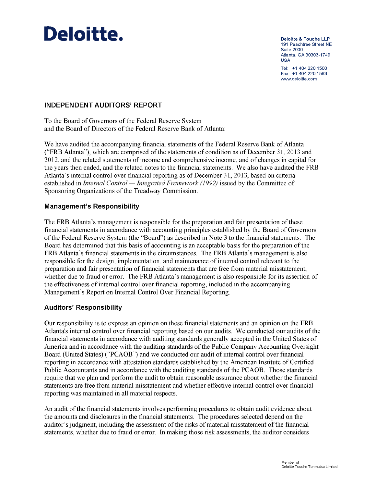# **Deloitte. Deloitte & Touche LLP**

191 Peachtree Street NE Suite 2000 Atlanta, GA 30303-1749 USA Tel: +1 404 220 1500

Fax: +1 404 220 1583 [www.deloitte.com](http://www.deloitte.com) 

# <span id="page-3-0"></span>**INDEPENDENT AUDITORS' REPORT**

To the Board of Governors of the Federal Reserve System and the Board of Directors of the Federal Reserve Bank of Atlanta:

We have audited the accompanying financial statements of the Federal Reserve Bank of Atlanta ("FRB Atlanta"), which are comprised of the statements of condition as of December 31, 2013 and 2012, and the related statements of income and comprehensive income, and of changes in capital for the years then ended, and the related notes to the financial statements. We also have audited the FRB Atlanta's internal control over financial reporting as of December 31, 2013, based on criteria established in *Internal Control — Integrated Framework (1992)* issued by the Committee of Sponsoring Organizations of the Treadway Commission.

# **Management's Responsibility**

The FRB Atlanta's management is responsible for the preparation and fair presentation of these financial statements in accordance with accounting principles established by the Board of Governors of the Federal Reserve System (the "Board") as described in Note 3 to the financial statements. The Board has determined that this basis of accounting is an acceptable basis for the preparation of the FRB Atlanta's financial statements in the circumstances. The FRB Atlanta's management is also responsible for the design, implementation, and maintenance of internal control relevant to the preparation and fair presentation of financial statements that are free from material misstatement, whether due to fraud or error. The FRB Atlanta's management is also responsible for its assertion of the effectiveness of internal control over financial reporting, included in the accompanying Management's Report on Internal Control Over Financial Reporting.

# **Auditors' Responsibility**

Our responsibility is to express an opinion on these financial statements and an opinion on the FRB Atlanta's internal control over financial reporting based on our audits. We conducted our audits of the financial statements in accordance with auditing standards generally accepted in the United States of America and in accordance with the auditing standards of the Public Company Accounting Oversight Board (United States) ("PCAOB") and we conducted our audit of internal control over financial reporting in accordance with attestation standards established by the American Institute of Certified Public Accountants and in accordance with the auditing standards of the PCAOB. Those standards require that we plan and perform the audit to obtain reasonable assurance about whether the financial statements are free from material misstatement and whether effective internal control over financial reporting was maintained in all material respects.

An audit of the financial statements involves performing procedures to obtain audit evidence about the amounts and disclosures in the financial statements. The procedures selected depend on the auditor's judgment, including the assessment of the risks of material misstatement of the financial statements, whether due to fraud or error. In making those risk assessments, the auditor considers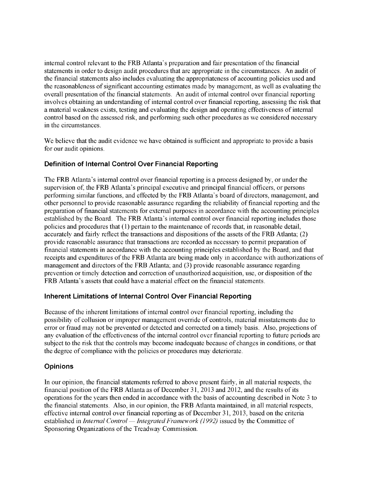internal control relevant to the FRB Atlanta's preparation and fair presentation of the financial statements in order to design audit procedures that are appropriate in the circumstances. An audit of the financial statements also includes evaluating the appropriateness of accounting policies used and the reasonableness of significant accounting estimates made by management, as well as evaluating the overall presentation of the financial statements. An audit of internal control over financial reporting involves obtaining an understanding of internal control over financial reporting, assessing the risk that a material weakness exists, testing and evaluating the design and operating effectiveness of internal control based on the assessed risk, and performing such other procedures as we considered necessary in the circumstances.

We believe that the audit evidence we have obtained is sufficient and appropriate to provide a basis for our audit opinions.

# <span id="page-4-0"></span>**Definition of Internal Control Over Financial Reporting**

The FRB Atlanta's internal control over financial reporting is a process designed by, or under the supervision of, the FRB Atlanta's principal executive and principal financial officers, or persons performing similar functions, and effected by the FRB Atlanta's board of directors, management, and other personnel to provide reasonable assurance regarding the reliability of financial reporting and the preparation of financial statements for external purposes in accordance with the accounting principles established by the Board. The FRB Atlanta's internal control over financial reporting includes those policies and procedures that (1) pertain to the maintenance of records that, in reasonable detail, accurately and fairly reflect the transactions and dispositions of the assets of the FRB Atlanta; (2) provide reasonable assurance that transactions are recorded as necessary to permit preparation of financial statements in accordance with the accounting principles established by the Board, and that receipts and expenditures of the FRB Atlanta are being made only in accordance with authorizations of management and directors of the FRB Atlanta; and (3) provide reasonable assurance regarding prevention or timely detection and correction of unauthorized acquisition, use, or disposition of the FRB Atlanta's assets that could have a material effect on the financial statements.

# **Inherent Limitations of Internal Control Over Financial Reporting**

Because of the inherent limitations of internal control over financial reporting, including the possibility of collusion or improper management override of controls, material misstatements due to error or fraud may not be prevented or detected and corrected on a timely basis. Also, projections of any evaluation of the effectiveness of the internal control over financial reporting to future periods are subject to the risk that the controls may become inadequate because of changes in conditions, or that the degree of compliance with the policies or procedures may deteriorate.

# **Opinions**

In our opinion, the financial statements referred to above present fairly, in all material respects, the financial position of the FRB Atlanta as of December 31, 2013 and 2012, and the results of its operations for the years then ended in accordance with the basis of accounting described in Note 3 to the financial statements. Also, in our opinion, the FRB Atlanta maintained, in all material respects, effective internal control over financial reporting as of December 31, 2013, based on the criteria established in *Internal Control — Integrated Framework (1992)* issued by the Committee of Sponsoring Organizations of the Treadway Commission.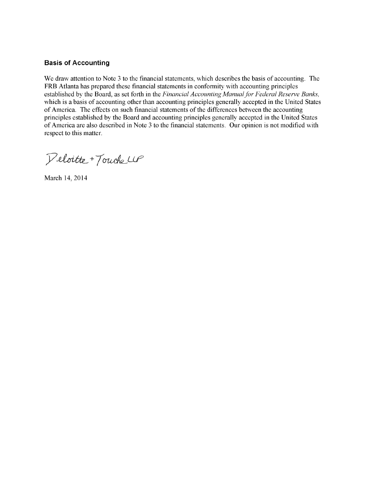# **Basis of Accounting**

We draw attention to Note 3 to the financial statements, which describes the basis of accounting. The FRB Atlanta has prepared these financial statements in conformity with accounting principles established by the Board, as set forth in the *Financial Accounting Manual for Federal Reserve Banks,*  which is a basis of accounting other than accounting principles generally accepted in the United States of America. The effects on such financial statements of the differences between the accounting principles established by the Board and accounting principles generally accepted in the United States of America are also described in Note 3 to the financial statements. Our opinion is not modified with respect to this matter.

Deloitte + Touche LLP

March 14, 2014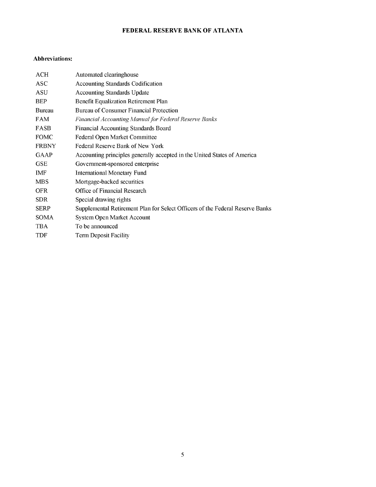### **FEDERAL RESERVE BANK OF ATLANTA**

## **Abbreviations:**

| ACH          | Automated clearinghouse                                                       |
|--------------|-------------------------------------------------------------------------------|
| <b>ASC</b>   | <b>Accounting Standards Codification</b>                                      |
| ASU          | <b>Accounting Standards Update</b>                                            |
| <b>BEP</b>   | <b>Benefit Equalization Retirement Plan</b>                                   |
| Bureau       | <b>Bureau of Consumer Financial Protection</b>                                |
| FAM          | <b>Financial Accounting Manual for Federal Reserve Banks</b>                  |
| <b>FASB</b>  | <b>Financial Accounting Standards Board</b>                                   |
| <b>FOMC</b>  | <b>Federal Open Market Committee</b>                                          |
| <b>FRBNY</b> | Federal Reserve Bank of New York                                              |
| GAAP         | Accounting principles generally accepted in the United States of America      |
| <b>GSE</b>   | Government-sponsored enterprise                                               |
| IMF          | <b>International Monetary Fund</b>                                            |
| <b>MBS</b>   | Mortgage-backed securities                                                    |
| <b>OFR</b>   | Office of Financial Research                                                  |
| <b>SDR</b>   | Special drawing rights                                                        |
| <b>SERP</b>  | Supplemental Retirement Plan for Select Officers of the Federal Reserve Banks |
| <b>SOMA</b>  | <b>System Open Market Account</b>                                             |
| TBA          | To be announced                                                               |
| TDF          | <b>Term Deposit Facility</b>                                                  |
|              |                                                                               |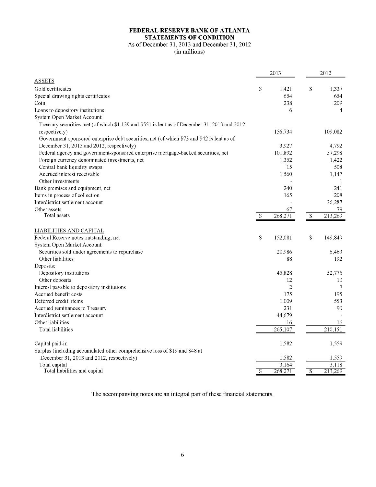#### **FEDERAL RESERVE BANK OF ATLANTA STATEMENTS OF CONDITION**  As of December 31, 2013 and December 31, 2012

(in millions)

|                                                                                                |                         | 2013           |                          | 2012    |
|------------------------------------------------------------------------------------------------|-------------------------|----------------|--------------------------|---------|
| <b>ASSETS</b>                                                                                  |                         |                |                          |         |
| Gold certificates                                                                              | $\mathbb S$             | 1.421          | $\mathbf S$              | 1,337   |
| Special drawing rights certificates                                                            |                         | 654            |                          | 654     |
| Coin                                                                                           |                         | 238            |                          | 209     |
| Loans to depository institutions                                                               |                         | 6              |                          | 4       |
| System Open Market Account:                                                                    |                         |                |                          |         |
| Treasury securities, net (of which \$1,139 and \$551 is lent as of December 31, 2013 and 2012, |                         |                |                          |         |
| respectively)                                                                                  |                         | 156,734        |                          | 109,082 |
| Government-sponsored enterprise debt securities, net (of which \$73 and \$42 is lent as of     |                         |                |                          |         |
| December 31, 2013 and 2012, respectively)                                                      |                         | 3.927          |                          | 4.792   |
| Federal agency and government-sponsored enterprise mortgage-backed securities, net             |                         | 101,892        |                          | 57,298  |
| Foreign currency denominated investments, net                                                  |                         | 1,352          |                          | 1,422   |
| Central bank liquidity swaps                                                                   |                         | 15             |                          | 508     |
| Accrued interest receivable                                                                    |                         | 1,560          |                          | 1.147   |
| Other investments                                                                              |                         |                |                          | 1       |
| Bank premises and equipment, net                                                               |                         | 240            |                          | 241     |
| Items in process of collection                                                                 |                         | 165            |                          | 208     |
| Interdistrict settlement account                                                               |                         |                |                          | 36,287  |
| Other assets                                                                                   |                         | 67             |                          | 79      |
| Total assets                                                                                   | \$                      | 268,271        | $\overline{\mathcal{S}}$ | 213,269 |
| LIABILITIES AND CAPITAL                                                                        |                         |                |                          |         |
| Federal Reserve notes outstanding, net                                                         | \$                      | 152,081        | \$                       | 149,849 |
| System Open Market Account:                                                                    |                         |                |                          |         |
| Securities sold under agreements to repurchase                                                 |                         | 20.986         |                          | 6.463   |
| Other liabilities                                                                              |                         | 88             |                          | 192     |
| Deposits:                                                                                      |                         |                |                          |         |
| Depository institutions                                                                        |                         | 45,828         |                          | 52,776  |
| Other deposits                                                                                 |                         | 12             |                          | 10      |
| Interest payable to depository institutions                                                    |                         | $\overline{2}$ |                          | 7       |
| Accrued benefit costs                                                                          |                         | 175            |                          | 195     |
| Deferred credit items                                                                          |                         | 1,009          |                          | 553     |
| Accrued remittances to Treasury                                                                |                         | 231            |                          | 90      |
| Interdistrict settlement account                                                               |                         | 44,679         |                          |         |
| Other liabilities                                                                              |                         | 16             |                          | 16      |
| Total liabilities                                                                              |                         | 265,107        |                          | 210,151 |
| Capital paid-in                                                                                |                         | 1,582          |                          | 1,559   |
| Surplus (including accumulated other comprehensive loss of \$19 and \$48 at                    |                         |                |                          |         |
| December 31, 2013 and 2012, respectively)                                                      |                         | 1.582          |                          | 1.559   |
| Total capital                                                                                  |                         | 3.164          |                          | 3.118   |
| Total liabilities and capital                                                                  | $\overline{\mathbb{S}}$ | 268,271        | $\overline{\mathcal{S}}$ | 213,269 |

The accompanying notes are an integral part of these financial statements.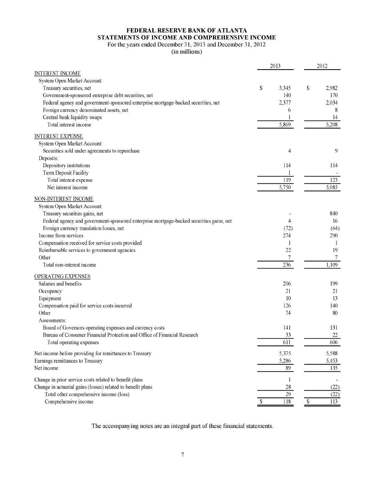# FEDERAL RESERVE BANK OF ATLANTA STATEMENTS OF INCOME AND COMPREHENSIVE INCOME

# For the years ended December 31, 2013 and December 31, 2012

(in millions)

|                                                                                          | 2013             |                         | 2012  |
|------------------------------------------------------------------------------------------|------------------|-------------------------|-------|
| <b>INTEREST INCOME</b>                                                                   |                  |                         |       |
| System Open Market Account:                                                              |                  |                         |       |
| Treasury securities, net                                                                 | \$<br>3,345      | \$                      | 2,982 |
| Government-sponsored enterprise debt securities, net                                     | 140              |                         |       |
| Federal agency and government-sponsored enterprise mortgage-backed securities, net       | 2,377            |                         | 2,034 |
| Foreign currency denominated assets, net                                                 | 6                |                         |       |
| Central bank liquidity swaps                                                             |                  |                         |       |
| Total interest income                                                                    | 5,869            |                         | 5,208 |
| <b>INTEREST EXPENSE</b>                                                                  |                  |                         |       |
| System Open Market Account:                                                              |                  |                         |       |
| Securities sold under agreements to repurchase                                           | 4                |                         |       |
| Deposits:                                                                                |                  |                         |       |
| Depository institutions                                                                  | 114              |                         |       |
| Term Deposit Facility                                                                    |                  |                         |       |
| Total interest expense                                                                   | $\overline{119}$ |                         |       |
| Net interest income                                                                      | 5,750            |                         | 5,085 |
| <b>NON-INTEREST INCOME</b>                                                               |                  |                         |       |
| System Open Market Account:                                                              |                  |                         |       |
| Treasury securities gains, net                                                           |                  |                         |       |
| Federal agency and government-sponsored enterprise mortgage-backed securities gains, net | 4                |                         |       |
| Foreign currency translation losses, net                                                 | (72)             |                         |       |
| Income from services                                                                     | 274              |                         |       |
| Compensation received for service costs provided                                         |                  |                         |       |
| Reimbursable services to government agencies                                             | 22               |                         |       |
| Other                                                                                    | 7                |                         |       |
| Total non-interest income                                                                | 236              |                         | 1,109 |
| <b>OPERATING EXPENSES</b>                                                                |                  |                         |       |
| Salaries and benefits                                                                    | 206              |                         |       |
| Occupancy                                                                                | 21               |                         |       |
| Equipment                                                                                | 10               |                         |       |
| Compensation paid for service costs incurred                                             | 126              |                         |       |
| Other                                                                                    | 74               |                         |       |
| Assessments:                                                                             |                  |                         |       |
| Board of Governors operating expenses and currency costs                                 | 141              |                         |       |
| Bureau of Consumer Financial Protection and Office of Financial Research                 | 33               |                         |       |
| Total operating expenses                                                                 | 611              |                         |       |
| Net income before providing for remittances to Treasury                                  | 5,375            |                         | 5,588 |
| Earnings remittances to Treasury                                                         | 5,286            |                         | 5,453 |
| Net income                                                                               | 89               |                         |       |
| Change in prior service costs related to benefit plans                                   | 1                |                         |       |
| Change in actuarial gains (losses) related to benefit plans                              | 28               |                         |       |
| Total other comprehensive income (loss)                                                  | 29               |                         |       |
| Comprehensive income                                                                     | \$<br>118        | $\overline{\mathbb{S}}$ |       |

The accompanying notes are an integral part of these financial statements.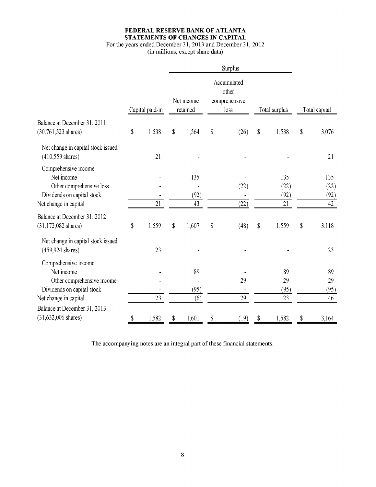# FEDERAL RESERVE BANK OF ATLANTA STATEMENTS OF CHANGES IN CAPITAL

# For the years ended December 31, 2013 and December 31, 2012

(in millions, except share data)

|                                                                  |                 |                        | Surplus                                       |                           |               |               |
|------------------------------------------------------------------|-----------------|------------------------|-----------------------------------------------|---------------------------|---------------|---------------|
|                                                                  | Capital paid-in | Net income<br>retained | Accumulated<br>other<br>comprehensive<br>loss |                           | Total surplus | Total capital |
| Balance at December 31, 2011                                     |                 |                        |                                               |                           |               |               |
| $(30, 761, 523$ shares)                                          | \$<br>1,538     | \$<br>1,564            | \$<br>(26)                                    | \$                        | 1,538         | \$<br>3,076   |
| Net change in capital stock issued<br>$(410,559 \text{ shares})$ | 21              |                        |                                               |                           |               | 21            |
| Comprehensive income:                                            |                 |                        |                                               |                           |               |               |
| Net income                                                       |                 | 135                    |                                               |                           | 135           | 135           |
| Other comprehensive loss                                         |                 |                        | (22)                                          |                           | (22)          | (22)          |
| Dividends on capital stock                                       |                 | (92)                   |                                               |                           | (92)          | (92)          |
| Net change in capital                                            | 21              | 43                     | (22)                                          |                           | 21            | 42            |
| Balance at December 31, 2012<br>$(31, 172, 082 \text{ shares})$  | \$<br>1,559     | \$<br>1,607            | \$<br>(48)                                    | $\boldsymbol{\mathsf{S}}$ | 1,559         | \$<br>3,118   |
| Net change in capital stock issued                               |                 |                        |                                               |                           |               |               |
| $(459, 924$ shares)                                              | 23              |                        |                                               |                           |               | 23            |
| Comprehensive income:                                            |                 |                        |                                               |                           |               |               |
| Net income                                                       |                 | 89                     |                                               |                           | 89            | 89            |
| Other comprehensive income                                       |                 |                        | 29                                            |                           | 29            | 29            |
| Dividends on capital stock                                       |                 | (95)                   |                                               |                           | (95)          | (95)          |
| Net change in capital                                            | $\overline{23}$ | (6)                    | $\overline{29}$                               |                           | 23            | 46            |
| Balance at December 31, 2013                                     |                 |                        |                                               |                           |               |               |
| $(31,632,006 \text{ shares})$                                    | \$<br>1,582     | \$<br>1,601            | \$<br>(19)                                    | $\boldsymbol{\mathsf{S}}$ | 1,582         | \$<br>3,164   |

The accompanying notes are an integral part of these financial statements.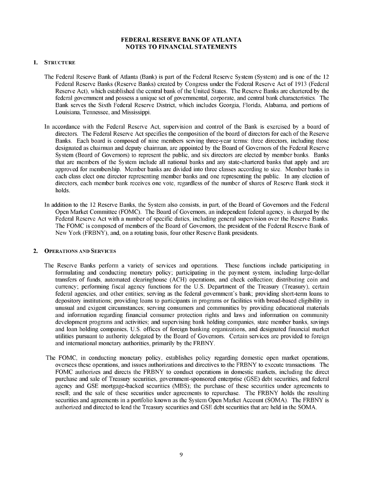#### **1. STRUCTURE**

- The Federal Reserve Bank of Atlanta (Bank) is part of the Federal Reserve System (System) and is one of the 12 Federal Reserve Banks (Reserve Banks) created by Congress under the Federal Reserve Act of 1913 (Federal Reserve Act), which established the central bank of the United States. The Reserve Banks are chartered by the federal government and possess a unique set of governmental, corporate, and central bank characteristics. The Bank serves the Sixth Federal Reserve District, which includes Georgia, Florida, Alabama, and portions of Louisiana, Tennessee, and Mississippi.
- In accordance with the Federal Reserve Act, supervision and control of the Bank is exercised by a board of directors. The Federal Reserve Act specifies the composition of the board of directors for each of the Reserve Banks. Each board is composed of nine members serving three-year terms: three directors, including those designated as chairman and deputy chairman, are appointed by the Board of Governors of the Federal Reserve System (Board of Governors) to represent the public, and six directors are elected by member banks. Banks that are members of the System include all national banks and any state-chartered banks that apply and are approved for membership. Member banks are divided into three classes according to size. Member banks in each class elect one director representing member banks and one representing the public. In any election of directors, each member bank receives one vote, regardless of the number of shares of Reserve Bank stock it holds.
- In addition to the 12 Reserve Banks, the System also consists, in part, of the Board of Governors and the Federal Open Market Committee (FOMC). The Board of Governors, an independent federal agency, is charged by the Federal Reserve Act with a number of specific duties, including general supervision over the Reserve Banks. The FOMC is composed of members of the Board of Governors, the president of the Federal Reserve Bank of New York (FRBNY), and, on a rotating basis, four other Reserve Bank presidents.

#### **2. OPERATIONS AND SERVICES**

- The Reserve Banks perform a variety of services and operations. These functions include participating in formulating and conducting monetary policy; participating in the payment system, including large-dollar transfers of funds, automated clearinghouse (ACH) operations, and check collection; distributing coin and currency; performing fiscal agency functions for the U.S. Department of the Treasury (Treasury), certain federal agencies, and other entities; serving as the federal government's bank; providing short-term loans to depository institutions; providing loans to participants in programs or facilities with broad-based eligibility in unusual and exigent circumstances; serving consumers and communities by providing educational materials and information regarding financial consumer protection rights and laws and information on community development programs and activities; and supervising bank holding companies, state member banks, savings and loan holding companies, U.S. offices of foreign banking organizations, and designated financial market utilities pursuant to authority delegated by the Board of Governors. Certain services are provided to foreign and international monetary authorities, primarily by the FRBNY.
- The FOMC, in conducting monetary policy, establishes policy regarding domestic open market operations, oversees these operations, and issues authorizations and directives to the FRBNY to execute transactions. The FOMC authorizes and directs the FRBNY to conduct operations in domestic markets, including the direct purchase and sale of Treasury securities, government-sponsored enterprise (GSE) debt securities, and federal agency and GSE mortgage-backed securities (MBS); the purchase of these securities under agreements to resell; and the sale of these securities under agreements to repurchase. The FRBNY holds the resulting securities and agreements in a portfolio known as the System Open Market Account (SOMA). The FRBNY is authorized and directed to lend the Treasury securities and GSE debt securities that are held in the SOMA.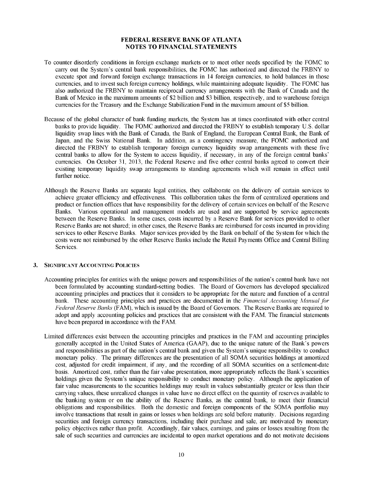- To counter disorderly conditions in foreign exchange markets or to meet other needs specified by the FOMC to carry out the System's central bank responsibilities, the FOMC has authorized and directed the FRBNY to execute spot and forward foreign exchange transactions in 14 foreign currencies, to hold balances in those currencies, and to invest such foreign currency holdings, while maintaining adequate liquidity. The FOMC has also authorized the FRBNY to maintain reciprocal currency arrangements with the Bank of Canada and the Bank of Mexico in the maximum amounts of \$2 billion and \$3 billion, respectively, and to warehouse foreign currencies for the Treasury and the Exchange Stabilization Fund in the maximum amount of \$5 billion.
- Because of the global character of bank funding markets, the System has at times coordinated with other central banks to provide liquidity. The FOMC authorized and directed the FRBNY to establish temporary U.S. dollar liquidity swap lines with the Bank of Canada, the Bank of England, the European Central Bank, the Bank of Japan, and the Swiss National Bank. In addition, as a contingency measure, the FOMC authorized and directed the FRBNY to establish temporary foreign currency liquidity swap arrangements with these five central banks to allow for the System to access liquidity, if necessary, in any of the foreign central banks' currencies. On October 31, 2013, the Federal Reserve and five other central banks agreed to convert their existing temporary liquidity swap arrangements to standing agreements which will remain in effect until further notice.
- Although the Reserve Banks are separate legal entities, they collaborate on the delivery of certain services to achieve greater efficiency and effectiveness. This collaboration takes the form of centralized operations and product or function offices that have responsibility for the delivery of certain services on behalf of the Reserve Banks. Various operational and management models are used and are supported by service agreements between the Reserve Banks. In some cases, costs incurred by a Reserve Bank for services provided to other Reserve Banks are not shared; in other cases, the Reserve Banks are reimbursed for costs incurred in providing services to other Reserve Banks. Major services provided by the Bank on behalf of the System for which the costs were not reimbursed by the other Reserve Banks include the Retail Payments Office and Central Billing Services.

#### **3. SIGNIFICANT ACCOUNTING POLICIES**

- Accounting principles for entities with the unique powers and responsibilities of the nation's central bank have not been formulated by accounting standard-setting bodies. The Board of Governors has developed specialized accounting principles and practices that it considers to be appropriate for the nature and function of a central bank. These accounting principles and practices are documented in the *Financial Accounting Manual for Federal Reserve Banks* (FAM), which is issued by the Board of Governors. The Reserve Banks are required to adopt and apply accounting policies and practices that are consistent with the FAM. The financial statements have been prepared in accordance with the FAM.
- Limited differences exist between the accounting principles and practices in the FAM and accounting principles generally accepted in the United States of America (GAAP), due to the unique nature of the Bank's powers and responsibilities as part of the nation's central bank and given the System's unique responsibility to conduct monetary policy. The primary differences are the presentation of all SOMA securities holdings at amortized cost, adjusted for credit impairment, if any, and the recording of all SOMA securities on a settlement-date basis. Amortized cost, rather than the fair value presentation, more appropriately reflects the Bank's securities holdings given the System's unique responsibility to conduct monetary policy. Although the application of fair value measurements to the securities holdings may result in values substantially greater or less than their carrying values, these unrealized changes in value have no direct effect on the quantity of reserves available to the banking system or on the ability of the Reserve Banks, as the central bank, to meet their financial obligations and responsibilities. Both the domestic and foreign components of the SOMA portfolio may involve transactions that result in gains or losses when holdings are sold before maturity. Decisions regarding securities and foreign currency transactions, including their purchase and sale, are motivated by monetary policy objectives rather than profit. Accordingly, fair values, earnings, and gains or losses resulting from the sale of such securities and currencies are incidental to open market operations and do not motivate decisions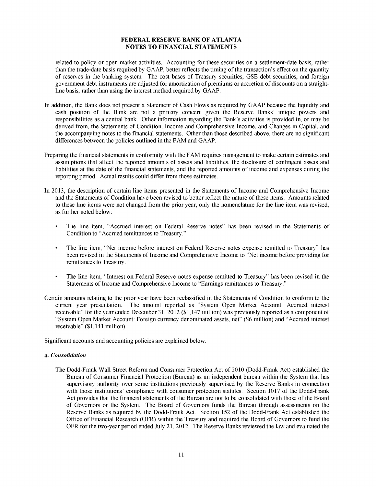related to policy or open market activities. Accounting for these securities on a settlement-date basis, rather than the trade-date basis required by GAAP, better reflects the timing of the transaction's effect on the quantity of reserves in the banking system. The cost bases of Treasury securities, GSE debt securities, and foreign government debt instruments are adjusted for amortization of premiums or accretion of discounts on a straightline basis, rather than using the interest method required by GAAP.

- In addition, the Bank does not present a Statement of Cash Flows as required by GAAP because the liquidity and cash position of the Bank are not a primary concern given the Reserve Banks' unique powers and responsibilities as a central bank. Other information regarding the Bank's activities is provided in, or may be derived from, the Statements of Condition, Income and Comprehensive Income, and Changes in Capital, and the accompanying notes to the financial statements. Other than those described above, there are no significant differences between the policies outlined in the FAM and GAAP.
- Preparing the financial statements in conformity with the FAM requires management to make certain estimates and assumptions that affect the reported amounts of assets and liabilities, the disclosure of contingent assets and liabilities at the date of the financial statements, and the reported amounts of income and expenses during the reporting period. Actual results could differ from those estimates.
- In 2013, the description of certain line items presented in the Statements of Income and Comprehensive Income and the Statements of Condition have been revised to better reflect the nature of these items. Amounts related to these line items were not changed from the prior year, only the nomenclature for the line item was revised, as further noted below:
	- The line item, "Accrued interest on Federal Reserve notes" has been revised in the Statements of Condition to "Accrued remittances to Treasury."
	- The line item, "Net income before interest on Federal Reserve notes expense remitted to Treasury" has been revised in the Statements of Income and Comprehensive Income to "Net income before providing for remittances to Treasury."
	- The line item, "Interest on Federal Reserve notes expense remitted to Treasury" has been revised in the Statements of Income and Comprehensive Income to "Earnings remittances to Treasury."
- Certain amounts relating to the prior year have been reclassified in the Statements of Condition to conform to the current year presentation. The amount reported as "System Open Market Account: Accrued interest receivable" for the year ended December 31, 2012 (\$1,147 million) was previously reported as a component of "System Open Market Account: Foreign currency denominated assets, net" (\$6 million) and "Accrued interest receivable" (\$1,141 million).

Significant accounts and accounting policies are explained below.

#### **a.** *Consolidation*

The Dodd-Frank Wall Street Reform and Consumer Protection Act of 2010 (Dodd-Frank Act) established the Bureau of Consumer Financial Protection (Bureau) as an independent bureau within the System that has supervisory authority over some institutions previously supervised by the Reserve Banks in connection with those institutions' compliance with consumer protection statutes. Section 1017 of the Dodd-Frank Act provides that the financial statements of the Bureau are not to be consolidated with those of the Board of Governors or the System. The Board of Governors funds the Bureau through assessments on the Reserve Banks as required by the Dodd-Frank Act. Section 152 of the Dodd-Frank Act established the Office of Financial Research (OFR) within the Treasury and required the Board of Governors to fund the OFR for the two-year period ended July 21, 2012. The Reserve Banks reviewed the law and evaluated the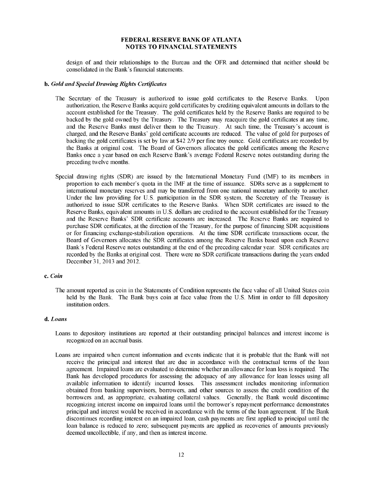design of and their relationships to the Bureau and the OFR and determined that neither should be consolidated in the Bank's financial statements.

#### **b.** *Gold and Special Drawing Rights Certificates*

- The Secretary of the Treasury is authorized to issue gold certificates to the Reserve Banks. Upon authorization, the Reserve Banks acquire gold certificates by crediting equivalent amounts in dollars to the account established for the Treasury. The gold certificates held by the Reserve Banks are required to be backed by the gold owned by the Treasury. The Treasury may reacquire the gold certificates at any time, and the Reserve Banks must deliver them to the Treasury. At such time, the Treasury's account is charged, and the Reserve Banks' gold certificate accounts are reduced. The value of gold for purposes of backing the gold certificates is set by law at \$42 2/9 per fine troy ounce. Gold certificates are recorded by the Banks at original cost. The Board of Governors allocates the gold certificates among the Reserve Banks once a year based on each Reserve Bank's average Federal Reserve notes outstanding during the preceding twelve months.
- Special drawing rights (SDR) are issued by the International Monetary Fund (IMF) to its members in proportion to each member's quota in the IMF at the time of issuance. SDRs serve as a supplement to international monetary reserves and may be transferred from one national monetary authority to another. Under the law providing for U.S. participation in the SDR system, the Secretary of the Treasury is authorized to issue SDR certificates to the Reserve Banks. When SDR certificates are issued to the Reserve Banks, equivalent amounts in U.S. dollars are credited to the account established for the Treasury and the Reserve Banks' SDR certificate accounts are increased. The Reserve Banks are required to purchase SDR certificates, at the direction of the Treasury, for the purpose of financing SDR acquisitions or for financing exchange-stabilization operations. At the time SDR certificate transactions occur, the Board of Governors allocates the SDR certificates among the Reserve Banks based upon each Reserve Bank's Federal Reserve notes outstanding at the end of the preceding calendar year. SDR certificates are recorded by the Banks at original cost. There were no SDR certificate transactions during the years ended December 31, 2013 and 2012.

#### **c.** *Coin*

The amount reported as coin in the Statements of Condition represents the face value of all United States coin held by the Bank. The Bank buys coin at face value from the U.S. Mint in order to fill depository institution orders.

#### **d.** *Loans*

- Loans to depository institutions are reported at their outstanding principal balances and interest income is recognized on an accrual basis.
- Loans are impaired when current information and events indicate that it is probable that the Bank will not receive the principal and interest that are due in accordance with the contractual terms of the loan agreement. Impaired loans are evaluated to determine whether an allowance for loan loss is required. The Bank has developed procedures for assessing the adequacy of any allowance for loan losses using all available information to identify incurred losses. This assessment includes monitoring information obtained from banking supervisors, borrowers, and other sources to assess the credit condition of the borrowers and, as appropriate, evaluating collateral values. Generally, the Bank would discontinue recognizing interest income on impaired loans until the borrower's repayment performance demonstrates principal and interest would be received in accordance with the terms of the loan agreement. If the Bank discontinues recording interest on an impaired loan, cash payments are first applied to principal until the loan balance is reduced to zero; subsequent payments are applied as recoveries of amounts previously deemed uncollectible, if any, and then as interest income.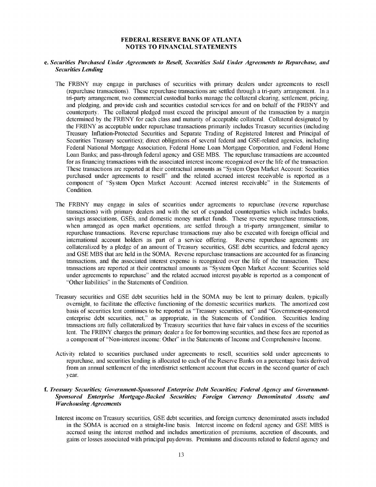#### **e.** *Securities Purchased Under Agreements to Resell, Securities Sold Under Agreements to Repurchase, and Securities Lending*

- The FRBNY may engage in purchases of securities with primary dealers under agreements to resell (repurchase transactions). These repurchase transactions are settled through a tri-party arrangement. In a tri-party arrangement, two commercial custodial banks manage the collateral clearing, settlement, pricing, and pledging, and provide cash and securities custodial services for and on behalf of the FRBNY and counterparty. The collateral pledged must exceed the principal amount of the transaction by a margin determined by the FRBNY for each class and maturity of acceptable collateral. Collateral designated by the FRBNY as acceptable under repurchase transactions primarily includes Treasury securities (including Treasury Inflation-Protected Securities and Separate Trading of Registered Interest and Principal of Securities Treasury securities); direct obligations of several federal and GSE-related agencies, including Federal National Mortgage Association, Federal Home Loan Mortgage Corporation, and Federal Home Loan Banks; and pass-through federal agency and GSE MBS. The repurchase transactions are accounted for as financing transactions with the associated interest income recognized over the life of the transaction. These transactions are reported at their contractual amounts as "System Open Market Account: Securities purchased under agreements to resell" and the related accrued interest receivable is reported as a component of "System Open Market Account: Accrued interest receivable" in the Statements of Condition.
- The FRBNY may engage in sales of securities under agreements to repurchase (reverse repurchase transactions) with primary dealers and with the set of expanded counterparties which includes banks, savings associations, GSEs, and domestic money market funds. These reverse repurchase transactions, when arranged as open market operations, are settled through a tri-party arrangement, similar to repurchase transactions. Reverse repurchase transactions may also be executed with foreign official and international account holders as part of a service offering. Reverse repurchase agreements are collateralized by a pledge of an amount of Treasury securities, GSE debt securities, and federal agency and GSE MBS that are held in the SOMA. Reverse repurchase transactions are accounted for as financing transactions, and the associated interest expense is recognized over the life of the transaction. These transactions are reported at their contractual amounts as "System Open Market Account: Securities sold under agreements to repurchase" and the related accrued interest payable is reported as a component of "Other liabilities" in the Statements of Condition.
- Treasury securities and GSE debt securities held in the SOMA may be lent to primary dealers, typically overnight, to facilitate the effective functioning of the domestic securities markets. The amortized cost basis of securities lent continues to be reported as "Treasury securities, net" and "Government-sponsored enterprise debt securities, net," as appropriate, in the Statements of Condition. Securities lending transactions are fully collateralized by Treasury securities that have fair values in excess of the securities lent. The FRBNY charges the primary dealer a fee for borrowing securities, and these fees are reported as a component of "Non-interest income: Other" in the Statements of Income and Comprehensive Income.
- Activity related to securities purchased under agreements to resell, securities sold under agreements to repurchase, and securities lending is allocated to each of the Reserve Banks on a percentage basis derived from an annual settlement of the interdistrict settlement account that occurs in the second quarter of each year.

#### **f.** *Treasury Securities; Government-Sponsored Enterprise Debt Securities; Federal Agency and Government-Sponsored Enterprise Mortgage-Backed Securities; Foreign Currency Denominated Assets; and Warehousing Agreements*

Interest income on Treasury securities, GSE debt securities, and foreign currency denominated assets included in the SOMA is accrued on a straight-line basis. Interest income on federal agency and GSE MBS is accrued using the interest method and includes amortization of premiums, accretion of discounts, and gains or losses associated with principal paydowns. Premiums and discounts related to federal agency and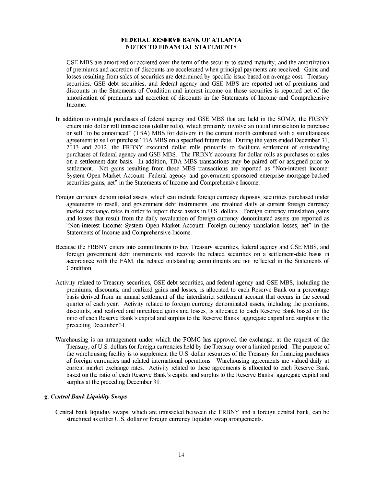GSE MBS are amortized or accreted over the term of the security to stated maturity, and the amortization of premiums and accretion of discounts are accelerated when principal payments are received. Gains and losses resulting from sales of securities are determined by specific issue based on average cost. Treasury securities, GSE debt securities, and federal agency and GSE MBS are reported net of premiums and discounts in the Statements of Condition and interest income on those securities is reported net of the amortization of premiums and accretion of discounts in the Statements of Income and Comprehensive Income.

- In addition to outright purchases of federal agency and GSE MBS that are held in the SOMA, the FRBNY enters into dollar roll transactions (dollar rolls), which primarily involve an initial transaction to purchase or sell "to be announced" (TBA) MBS for delivery in the current month combined with a simultaneous agreement to sell or purchase TBA MBS on a specified future date. During the years ended December 31, 2013 and 2012, the FRBNY executed dollar rolls primarily to facilitate settlement of outstanding purchases of federal agency and GSE MBS. The FRBNY accounts for dollar rolls as purchases or sales on a settlement-date basis. In addition, TBA MBS transactions may be paired off or assigned prior to settlement. Net gains resulting from these MBS transactions are reported as "Non-interest income: System Open Market Account: Federal agency and government-sponsored enterprise mortgage-backed securities gains, net" in the Statements of Income and Comprehensive Income.
- Foreign currency denominated assets, which can include foreign currency deposits, securities purchased under agreements to resell, and government debt instruments, are revalued daily at current foreign currency market exchange rates in order to report these assets in U.S. dollars. Foreign currency translation gains and losses that result from the daily revaluation of foreign currency denominated assets are reported as "Non-interest income: System Open Market Account: Foreign currency translation losses, net" in the Statements of Income and Comprehensive Income.
- Because the FRBNY enters into commitments to buy Treasury securities, federal agency and GSE MBS, and foreign government debt instruments and records the related securities on a settlement-date basis in accordance with the FAM, the related outstanding commitments are not reflected in the Statements of Condition.
- Activity related to Treasury securities, GSE debt securities, and federal agency and GSE MBS, including the premiums, discounts, and realized gains and losses, is allocated to each Reserve Bank on a percentage basis derived from an annual settlement of the interdistrict settlement account that occurs in the second quarter of each year. Activity related to foreign currency denominated assets, including the premiums, discounts, and realized and unrealized gains and losses, is allocated to each Reserve Bank based on the ratio of each Reserve Bank's capital and surplus to the Reserve Banks' aggregate capital and surplus at the preceding December 31.
- Warehousing is an arrangement under which the FOMC has approved the exchange, at the request of the Treasury, of U.S. dollars for foreign currencies held by the Treasury over a limited period. The purpose of the warehousing facility is to supplement the U.S. dollar resources of the Treasury for financing purchases of foreign currencies and related international operations. Warehousing agreements are valued daily at current market exchange rates. Activity related to these agreements is allocated to each Reserve Bank based on the ratio of each Reserve Bank's capital and surplus to the Reserve Banks' aggregate capital and surplus at the preceding December 31.

#### **g.** *Central Bank Liquidity Swaps*

Central bank liquidity swaps, which are transacted between the FRBNY and a foreign central bank, can be structured as either U.S. dollar or foreign currency liquidity swap arrangements.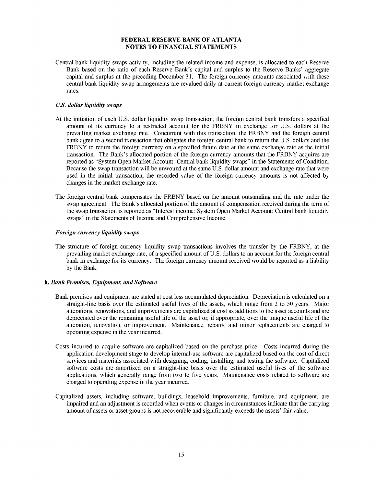Central bank liquidity swaps activity, including the related income and expense, is allocated to each Reserve Bank based on the ratio of each Reserve Bank's capital and surplus to the Reserve Banks' aggregate capital and surplus at the preceding December 31. The foreign currency amounts associated with these central bank liquidity swap arrangements are revalued daily at current foreign currency market exchange rates.

#### *U.S. dollar liquidity swaps*

- At the initiation of each U.S. dollar liquidity swap transaction, the foreign central bank transfers a specified amount of its currency to a restricted account for the FRBNY in exchange for U.S. dollars at the prevailing market exchange rate. Concurrent with this transaction, the FRBNY and the foreign central bank agree to a second transaction that obligates the foreign central bank to return the U.S. dollars and the FRBNY to return the foreign currency on a specified future date at the same exchange rate as the initial transaction. The Bank's allocated portion of the foreign currency amounts that the FRBNY acquires are reported as "System Open Market Account: Central bank liquidity swaps" in the Statements of Condition. Because the swap transaction will be unwound at the same U.S. dollar amount and exchange rate that were used in the initial transaction, the recorded value of the foreign currency amounts is not affected by changes in the market exchange rate.
- The foreign central bank compensates the FRBNY based on the amount outstanding and the rate under the swap agreement. The Bank's allocated portion of the amount of compensation received during the term of the swap transaction is reported as "Interest income: System Open Market Account: Central bank liquidity swaps" in the Statements of Income and Comprehensive Income.

#### *Foreign currency liquidity swaps*

The structure of foreign currency liquidity swap transactions involves the transfer by the FRBNY, at the prevailing market exchange rate, of a specified amount of U.S. dollars to an account for the foreign central bank in exchange for its currency. The foreign currency amount received would be reported as a liability by the Bank.

#### **h.** *Bank Premises, Equipment, and Software*

- Bank premises and equipment are stated at cost less accumulated depreciation. Depreciation is calculated on a straight-line basis over the estimated useful lives of the assets, which range from 2 to 50 years. Major alterations, renovations, and improvements are capitalized at cost as additions to the asset accounts and are depreciated over the remaining useful life of the asset or, if appropriate, over the unique useful life of the alteration, renovation, or improvement. Maintenance, repairs, and minor replacements are charged to operating expense in the year incurred.
- Costs incurred to acquire software are capitalized based on the purchase price. Costs incurred during the application development stage to develop internal-use software are capitalized based on the cost of direct services and materials associated with designing, coding, installing, and testing the software. Capitalized software costs are amortized on a straight-line basis over the estimated useful lives of the software applications, which generally range from two to five years. Maintenance costs related to software are charged to operating expense in the year incurred.
- Capitalized assets, including software, buildings, leasehold improvements, furniture, and equipment, are impaired and an adjustment is recorded when events or changes in circumstances indicate that the carrying amount of assets or asset groups is not recoverable and significantly exceeds the assets' fair value.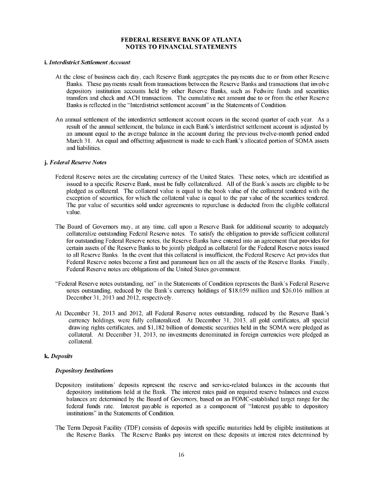#### **i.** *Interdistrict Settlement Account*

- At the close of business each day, each Reserve Bank aggregates the payments due to or from other Reserve Banks. These payments result from transactions between the Reserve Banks and transactions that involve depository institution accounts held by other Reserve Banks, such as Fedwire funds and securities transfers and check and ACH transactions. The cumulative net amount due to or from the other Reserve Banks is reflected in the "Interdistrict settlement account" in the Statements of Condition.
- An annual settlement of the interdistrict settlement account occurs in the second quarter of each year. As a result of the annual settlement, the balance in each Bank's interdistrict settlement account is adjusted by an amount equal to the average balance in the account during the previous twelve-month period ended March 31. An equal and offsetting adjustment is made to each Bank's allocated portion of SOMA assets and liabilities.

#### **j.** *Federal Reserve Notes*

- Federal Reserve notes are the circulating currency of the United States. These notes, which are identified as issued to a specific Reserve Bank, must be fully collateralized. All of the Bank's assets are eligible to be pledged as collateral. The collateral value is equal to the book value of the collateral tendered with the exception of securities, for which the collateral value is equal to the par value of the securities tendered. The par value of securities sold under agreements to repurchase is deducted from the eligible collateral value.
- The Board of Governors may, at any time, call upon a Reserve Bank for additional security to adequately collateralize outstanding Federal Reserve notes. To satisfy the obligation to provide sufficient collateral for outstanding Federal Reserve notes, the Reserve Banks have entered into an agreement that provides for certain assets of the Reserve Banks to be jointly pledged as collateral for the Federal Reserve notes issued to all Reserve Banks. In the event that this collateral is insufficient, the Federal Reserve Act provides that Federal Reserve notes become a first and paramount lien on all the assets of the Reserve Banks. Finally, Federal Reserve notes are obligations of the United States government.
- "Federal Reserve notes outstanding, net" in the Statements of Condition represents the Bank's Federal Reserve notes outstanding, reduced by the Bank's currency holdings of \$18,059 million and \$26,016 million at December 31, 2013 and 2012, respectively.
- At December 31, 2013 and 2012, all Federal Reserve notes outstanding, reduced by the Reserve Bank's currency holdings, were fully collateralized. At December 31, 2013, all gold certificates, all special drawing rights certificates, and \$1,182 billion of domestic securities held in the SOMA were pledged as collateral. At December 31, 2013, no investments denominated in foreign currencies were pledged as collateral.

#### **k.** *Deposits*

#### *Depository Institutions*

- Depository institutions' deposits represent the reserve and service-related balances in the accounts that depository institutions hold at the Bank. The interest rates paid on required reserve balances and excess balances are determined by the Board of Governors, based on an FOMC-established target range for the federal funds rate. Interest payable is reported as a component of "Interest payable to depository institutions" in the Statements of Condition.
- The Term Deposit Facility (TDF) consists of deposits with specific maturities held by eligible institutions at the Reserve Banks. The Reserve Banks pay interest on these deposits at interest rates determined by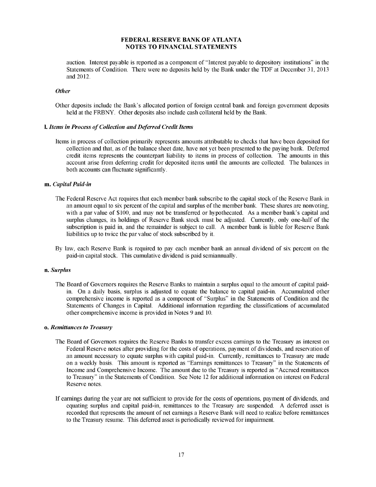auction. Interest payable is reported as a component of "Interest payable to depository institutions" in the Statements of Condition. There were no deposits held by the Bank under the TDF at December 31, 2013 and 2012.

#### *Other*

Other deposits include the Bank's allocated portion of foreign central bank and foreign government deposits held at the FRBNY. Other deposits also include cash collateral held by the Bank.

#### **l.** *Items in Process of Collection and Deferred Credit Items*

Items in process of collection primarily represents amounts attributable to checks that have been deposited for collection and that, as of the balance sheet date, have not yet been presented to the paying bank. Deferred credit items represents the counterpart liability to items in process of collection. The amounts in this account arise from deferring credit for deposited items until the amounts are collected. The balances in both accounts can fluctuate significantly.

#### **m.** *Capital Paid-in*

- The Federal Reserve Act requires that each member bank subscribe to the capital stock of the Reserve Bank in an amount equal to six percent of the capital and surplus of the member bank. These shares are nonvoting, with a par value of \$100, and may not be transferred or hypothecated. As a member bank's capital and surplus changes, its holdings of Reserve Bank stock must be adjusted. Currently, only one-half of the subscription is paid in, and the remainder is subject to call. A member bank is liable for Reserve Bank liabilities up to twice the par value of stock subscribed by it.
- By law, each Reserve Bank is required to pay each member bank an annual dividend of six percent on the paid-in capital stock. This cumulative dividend is paid semiannually.

#### **n.** *Surplus*

The Board of Governors requires the Reserve Banks to maintain a surplus equal to the amount of capital paidin. On a daily basis, surplus is adjusted to equate the balance to capital paid-in. Accumulated other comprehensive income is reported as a component of "Surplus" in the Statements of Condition and the Statements of Changes in Capital. Additional information regarding the classifications of accumulated other comprehensive income is provided in Notes 9 and 10.

#### **o.** *Remittances to Treasury*

- The Board of Governors requires the Reserve Banks to transfer excess earnings to the Treasury as interest on Federal Reserve notes after providing for the costs of operations, payment of dividends, and reservation of an amount necessary to equate surplus with capital paid-in. Currently, remittances to Treasury are made on a weekly basis. This amount is reported as "Earnings remittances to Treasury" in the Statements of Income and Comprehensive Income. The amount due to the Treasury is reported as "Accrued remittances to Treasury" in the Statements of Condition. See Note 12 for additional information on interest on Federal Reserve notes.
- If earnings during the year are not sufficient to provide for the costs of operations, payment of dividends, and equating surplus and capital paid-in, remittances to the Treasury are suspended. A deferred asset is recorded that represents the amount of net earnings a Reserve Bank will need to realize before remittances to the Treasury resume. This deferred asset is periodically reviewed for impairment.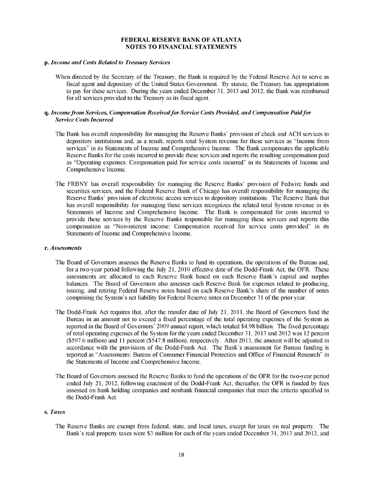#### **p.** *Income and Costs Related to Treasury Services*

When directed by the Secretary of the Treasury, the Bank is required by the Federal Reserve Act to serve as fiscal agent and depositary of the United States Government. By statute, the Treasury has appropriations to pay for these services. During the years ended December 31, 2013 and 2012, the Bank was reimbursed for all services provided to the Treasury as its fiscal agent.

#### **q.** *Income from Services, Compensation Received for Service Costs Provided, and Compensation Paid for Service Costs Incurred*

- The Bank has overall responsibility for managing the Reserve Banks' provision of check and ACH services to depository institutions and, as a result, reports total System revenue for these services as "Income from services" in its Statements of Income and Comprehensive Income. The Bank compensates the applicable Reserve Banks for the costs incurred to provide these services and reports the resulting compensation paid as "Operating expenses: Compensation paid for service costs incurred" in its Statements of Income and Comprehensive Income.
- The FRBNY has overall responsibility for managing the Reserve Banks' provision of Fedwire funds and securities services, and the Federal Reserve Bank of Chicago has overall responsibility for managing the Reserve Banks' provision of electronic access services to depository institutions. The Reserve Bank that has overall responsibility for managing these services recognizes the related total System revenue in its Statements of Income and Comprehensive Income. The Bank is compensated for costs incurred to provide these services by the Reserve Banks responsible for managing these services and reports this compensation as "Non-interest income: Compensation received for service costs provided" in its Statements of Income and Comprehensive Income.

#### **r.** *Assessments*

- The Board of Governors assesses the Reserve Banks to fund its operations, the operations of the Bureau and, for a two-year period following the July 21, 2010 effective date of the Dodd-Frank Act, the OFR. These assessments are allocated to each Reserve Bank based on each Reserve Bank's capital and surplus balances. The Board of Governors also assesses each Reserve Bank for expenses related to producing, issuing, and retiring Federal Reserve notes based on each Reserve Bank's share of the number of notes comprising the System's net liability for Federal Reserve notes on December 31 of the prior year.
- The Dodd-Frank Act requires that, after the transfer date of July 21, 2011, the Board of Governors fund the Bureau in an amount not to exceed a fixed percentage of the total operating expenses of the System as reported in the Board of Governors' 2009 annual report, which totaled \$4.98 billion. The fixed percentage of total operating expenses of the System for the years ended December 31, 2013 and 2012 was 12 percent (\$597.6 million) and 11 percent (\$547.8 million), respectively. After 2013, the amount will be adjusted in accordance with the provisions of the Dodd-Frank Act. The Bank's assessment for Bureau funding is reported as "Assessments: Bureau of Consumer Financial Protection and Office of Financial Research" in the Statements of Income and Comprehensive Income.
- The Board of Governors assessed the Reserve Banks to fund the operations of the OFR for the two-year period ended July 21, 2012, following enactment of the Dodd-Frank Act; thereafter, the OFR is funded by fees assessed on bank holding companies and nonbank financial companies that meet the criteria specified in the Dodd-Frank Act.

#### **s.** *Taxes*

The Reserve Banks are exempt from federal, state, and local taxes, except for taxes on real property. The Bank's real property taxes were \$3 million for each of the years ended December 31, 2013 and 2012, and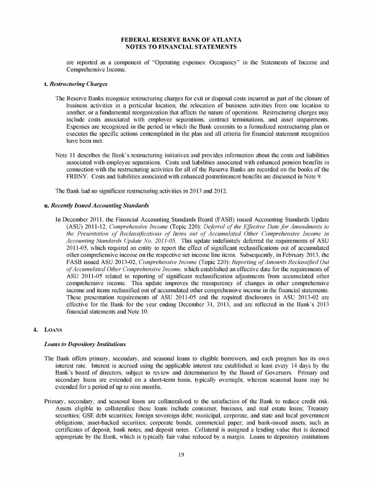are reported as a component of "Operating expenses: Occupancy" in the Statements of Income and Comprehensive Income.

#### **t.** *Restructuring Charges*

- The Reserve Banks recognize restructuring charges for exit or disposal costs incurred as part of the closure of business activities in a particular location, the relocation of business activities from one location to another, or a fundamental reorganization that affects the nature of operations. Restructuring charges may include costs associated with employee separations, contract terminations, and asset impairments. Expenses are recognized in the period in which the Bank commits to a formalized restructuring plan or executes the specific actions contemplated in the plan and all criteria for financial statement recognition have been met.
- Note 11 describes the Bank's restructuring initiatives and provides information about the costs and liabilities associated with employee separations. Costs and liabilities associated with enhanced pension benefits in connection with the restructuring activities for all of the Reserve Banks are recorded on the books of the FRBNY. Costs and liabilities associated with enhanced postretirement benefits are discussed in Note 9.

The Bank had no significant restructuring activities in 2013 and 2012.

#### **u.** *Recently Issued Accounting Standards*

In December 2011, the Financial Accounting Standards Board (FASB) issued Accounting Standards Update (ASU) 2011-12, *Comprehensive Income* (Topic 220): *Deferral of the Effective Date for Amendments to the Presentation of Reclassifications of Items out of Accumulated Other Comprehensive Income in Accounting Standards Update No. 2011-05.* This update indefinitely deferred the requirements of ASU 2011-05, which required an entity to report the effect of significant reclassifications out of accumulated other comprehensive income on the respective net income line items. Subsequently, in February 2013, the FASB issued ASU 2013-02, *Comprehensive Income* (Topic 220): *Reporting of Amounts Reclassified Out of Accumulated Other Comprehensive Income,* which established an effective date for the requirements of ASU 2011-05 related to reporting of significant reclassification adjustments from accumulated other comprehensive income. This update improves the transparency of changes in other comprehensive income and items reclassified out of accumulated other comprehensive income in the financial statements. These presentation requirements of ASU 2011-05 and the required disclosures in ASU 2013-02 are effective for the Bank for the year ending December 31, 2013, and are reflected in the Bank's 2013 financial statements and Note 10.

#### **4. LOANS**

#### *Loans to Depository Institutions*

- The Bank offers primary, secondary, and seasonal loans to eligible borrowers, and each program has its own interest rate. Interest is accrued using the applicable interest rate established at least every 14 days by the Bank's board of directors, subject to review and determination by the Board of Governors. Primary and secondary loans are extended on a short-term basis, typically overnight, whereas seasonal loans may be extended for a period of up to nine months.
- Primary, secondary, and seasonal loans are collateralized to the satisfaction of the Bank to reduce credit risk. Assets eligible to collateralize these loans include consumer, business, and real estate loans; Treasury securities; GSE debt securities; foreign sovereign debt; municipal, corporate, and state and local government obligations; asset-backed securities; corporate bonds; commercial paper; and bank-issued assets, such as certificates of deposit, bank notes, and deposit notes. Collateral is assigned a lending value that is deemed appropriate by the Bank, which is typically fair value reduced by a margin. Loans to depository institutions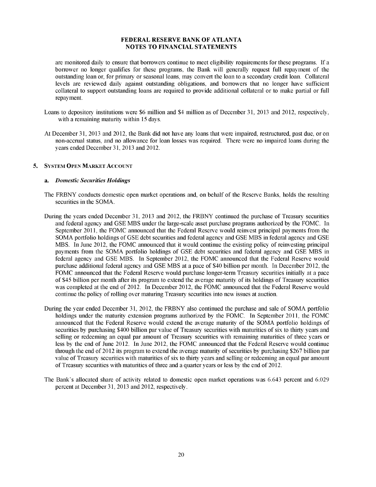are monitored daily to ensure that borrowers continue to meet eligibility requirements for these programs. If a borrower no longer qualifies for these programs, the Bank will generally request full repayment of the outstanding loan or, for primary or seasonal loans, may convert the loan to a secondary credit loan. Collateral levels are reviewed daily against outstanding obligations, and borrowers that no longer have sufficient collateral to support outstanding loans are required to provide additional collateral or to make partial or full repayment.

- Loans to depository institutions were \$6 million and \$4 million as of December 31, 2013 and 2012, respectively, with a remaining maturity within 15 days.
- At December 31, 2013 and 2012, the Bank did not have any loans that were impaired, restructured, past due, or on non-accrual status, and no allowance for loan losses was required. There were no impaired loans during the years ended December 31, 2013 and 2012.

#### **5. SYSTEM OPEN MARKET ACCOUNT**

#### **a.** *Domestic Securities Holdings*

- The FRBNY conducts domestic open market operations and, on behalf of the Reserve Banks, holds the resulting securities in the SOMA.
- During the years ended December 31, 2013 and 2012, the FRBNY continued the purchase of Treasury securities and federal agency and GSE MBS under the large-scale asset purchase programs authorized by the FOMC. In September 2011, the FOMC announced that the Federal Reserve would reinvest principal payments from the SOMA portfolio holdings of GSE debt securities and federal agency and GSE MBS in federal agency and GSE MBS. In June 2012, the FOMC announced that it would continue the existing policy of reinvesting principal payments from the SOMA portfolio holdings of GSE debt securities and federal agency and GSE MBS in federal agency and GSE MBS. In September 2012, the FOMC announced that the Federal Reserve would purchase additional federal agency and GSE MBS at a pace of \$40 billion per month. In December 2012, the FOMC announced that the Federal Reserve would purchase longer-term Treasury securities initially at a pace of \$45 billion per month after its program to extend the average maturity of its holdings of Treasury securities was completed at the end of 2012. In December 2012, the FOMC announced that the Federal Reserve would continue the policy of rolling over maturing Treasury securities into new issues at auction.
- During the year ended December 31, 2012, the FRBNY also continued the purchase and sale of SOMA portfolio holdings under the maturity extension programs authorized by the FOMC. In September 2011, the FOMC announced that the Federal Reserve would extend the average maturity of the SOMA portfolio holdings of securities by purchasing \$400 billion par value of Treasury securities with maturities of six to thirty years and selling or redeeming an equal par amount of Treasury securities with remaining maturities of three years or less by the end of June 2012. In June 2012, the FOMC announced that the Federal Reserve would continue through the end of 2012 its program to extend the average maturity of securities by purchasing \$267 billion par value of Treasury securities with maturities of six to thirty years and selling or redeeming an equal par amount of Treasury securities with maturities of three and a quarter years or less by the end of 2012.
- The Bank's allocated share of activity related to domestic open market operations was 6.643 percent and 6.029 percent at December 31, 2013 and 2012, respectively.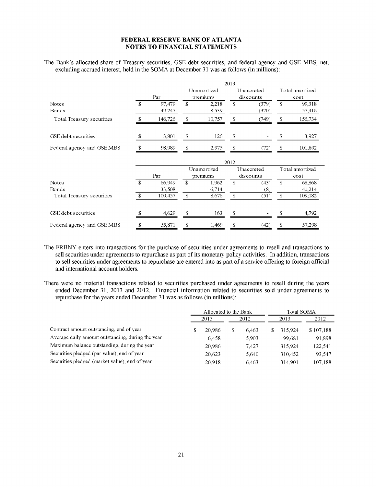The Bank's allocated share of Treasury securities, GSE debt securities, and federal agency and GSE MBS, net, excluding accrued interest, held in the SOMA at December 31 was as follows (in millions):

|                            |              |         |               | Unamortized |               | Unaccreted |               | Total amortized   |
|----------------------------|--------------|---------|---------------|-------------|---------------|------------|---------------|-------------------|
|                            |              | Par     |               | premiums    |               | discounts  |               | cost              |
| <b>Notes</b>               | $\mathbf{s}$ | 97,479  | $\mathbf S$   | 2,218       | $\mathbf{\$}$ | (379)      | $\mathbf{\$}$ | 99,318            |
| Bonds                      |              | 49,247  |               | 8,539       |               | (370)      |               | 57,416            |
| Total Treasury securities  | \$           | 146,726 | \$            | 10,757      | \$            | (749)      | \$            | 156,734           |
| GSE debt securities        | $\mathbf{S}$ | 3,801   | \$            | 126         | \$            |            | \$            | 3,927             |
|                            |              | 98,989  | \$            | 2,975       | \$            | (72)       | \$            | 101,892           |
| Federal agency and GSE MBS |              |         |               |             |               |            |               |                   |
|                            |              |         |               |             | 2012          |            |               |                   |
|                            |              |         |               | Unamortized |               | Unaccreted |               | Total amortized   |
|                            |              | Par     |               | premiums    |               | discounts  |               | cost              |
|                            | $\mathbf{S}$ | 66,949  | $\mathbf{\$}$ | 1,962       | $\mathbf{\$}$ | (43)       | $\mathbf{\$}$ | 68,868            |
| <b>Notes</b><br>Bonds      |              | 33,508  |               | 6,714       |               | (8)        |               |                   |
| Total Treasury securities  |              | 100,457 | \$            | 8,676       | \$            | (51)       | \$            | 40,214<br>109,082 |
| GSE debt securities        | \$           | 4,629   | \$            | 163         | \$            |            | \$            | 4,792             |

The FRBNY enters into transactions for the purchase of securities under agreements to resell and transactions to sell securities under agreements to repurchase as part of its monetary policy activities. In addition, transactions to sell securities under agreements to repurchase are entered into as part of a service offering to foreign official and international account holders.

There were no material transactions related to securities purchased under agreements to resell during the years ended December 31, 2013 and 2012. Financial information related to securities sold under agreements to repurchase for the years ended December 31 was as follows (in millions):

|                                                   |    | Allocated to the Bank |       |   | Total SOMA |           |
|---------------------------------------------------|----|-----------------------|-------|---|------------|-----------|
|                                                   |    | 2013                  | 2012  |   | 2013       | 2012      |
| Contract amount outstanding, end of year          | S. | 20,986                | 6.463 | S | 315.924    | \$107,188 |
| Average daily amount outstanding, during the year |    | 6.458                 | 5,903 |   | 99.681     | 91,898    |
| Maximum balance outstanding, during the year      |    | 20,986                | 7.427 |   | 315.924    | 122,541   |
| Securities pledged (par value), end of year       |    | 20,623                | 5,640 |   | 310,452    | 93,547    |
| Securities pledged (market value), end of year    |    | 20.918                | 6.463 |   | 314,901    | 107,188   |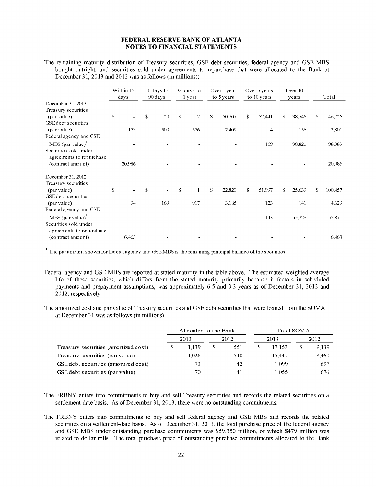The remaining maturity distribution of Treasury securities, GSE debt securities, federal agency and GSE MBS bought outright, and securities sold under agreements to repurchase that were allocated to the Bank at December 31, 2013 and 2012 was as follows (in millions):

|                                                                                        |    | Within 15<br>days |              | 16 days to<br>90 days    |              | 91 days to<br>1 year | Over 1 year<br>to 5 years |              | Over 5 years<br>to 10 years |    | Over 10<br>vears |              | Total   |
|----------------------------------------------------------------------------------------|----|-------------------|--------------|--------------------------|--------------|----------------------|---------------------------|--------------|-----------------------------|----|------------------|--------------|---------|
| December 31, 2013:                                                                     |    |                   |              |                          |              |                      |                           |              |                             |    |                  |              |         |
| Treasury securities<br>(par value)                                                     | S  |                   | $\mathbb{S}$ | 20                       | $\mathbb{S}$ | 12                   | \$<br>50,707              | \$           | 57,441                      | S  | 38,546           | $\mathbf{s}$ | 146,726 |
| GSE debt securities<br>(par value)                                                     |    | 153               |              | 503                      |              | 576                  | 2,409                     |              | $\overline{4}$              |    | 156              |              | 3,801   |
| Federal agency and GSE<br>$MBS$ (par value) <sup><math>\text{ }^{\text{}}</math></sup> |    |                   |              |                          |              |                      |                           |              | 169                         |    | 98,820           |              | 98,989  |
| Securities sold under<br>agreements to repurchase<br>(contract amount)                 |    | 20,986            |              |                          |              |                      |                           |              |                             |    |                  |              | 20,986  |
| December 31, 2012:                                                                     |    |                   |              |                          |              |                      |                           |              |                             |    |                  |              |         |
| Treasury securities<br>(par value)                                                     | \$ |                   | $\mathbf{s}$ | $\overline{\phantom{a}}$ | $\mathbb{S}$ | $\mathbf{1}$         | \$<br>22,820              | $\mathbb{S}$ | 51,997                      | S. | 25,639           | S            | 100,457 |
| GSE debt securities<br>(par value)                                                     |    | 94                |              | 169                      |              | 917                  | 3,185                     |              | 123                         |    | 141              |              | 4,629   |
| Federal agency and GSE                                                                 |    |                   |              |                          |              |                      |                           |              |                             |    |                  |              |         |
| $MBS$ (par value) <sup>1</sup>                                                         |    |                   |              |                          |              |                      |                           |              | 143                         |    | 55,728           |              | 55,871  |
| Securities sold under<br>agreements to repurchase                                      |    |                   |              |                          |              |                      |                           |              |                             |    |                  |              |         |
| (contract amount)                                                                      |    | 6,463             |              |                          |              |                      |                           |              |                             |    |                  |              | 6,463   |

 $1$  The paramount shown for federal agency and GSEMBS is the remaining principal balance of the securities.

- Federal agency and GSE MBS are reported at stated maturity in the table above. The estimated weighted average life of these securities, which differs from the stated maturity primarily because it factors in scheduled payments and prepayment assumptions, was approximately 6.5 and 3.3 years as of December 31, 2013 and 2012, respectively.
- The amortized cost and par value of Treasury securities and GSE debt securities that were loaned from the SOMA at December 31 was as follows (in millions):

|                                      | Allocated to the Bank |       |    |      |    | <b>Total SOMA</b> |       |
|--------------------------------------|-----------------------|-------|----|------|----|-------------------|-------|
|                                      |                       | 2013  |    | 2012 |    | 2013              | 2012  |
| Treasury securities (amortized cost) | \$.                   | 1.139 | S. | 551  | \$ | 17.153            | 9,139 |
| Treasury securities (par value)      |                       | 1.026 |    | 510  |    | 15.447            | 8,460 |
| GSE debt securities (amortized cost) |                       | 73    |    | 42   |    | 1.099             | 697   |
| GSE debt securities (par value)      |                       | 70    |    | 41   |    | 1.055             | 676   |

- The FRBNY enters into commitments to buy and sell Treasury securities and records the related securities on a settlement-date basis. As of December 31, 2013, there were no outstanding commitments.
- The FRBNY enters into commitments to buy and sell federal agency and GSE MBS and records the related securities on a settlement-date basis. As of December 31, 2013, the total purchase price of the federal agency and GSE MBS under outstanding purchase commitments was \$59,350 million, of which \$479 million was related to dollar rolls. The total purchase price of outstanding purchase commitments allocated to the Bank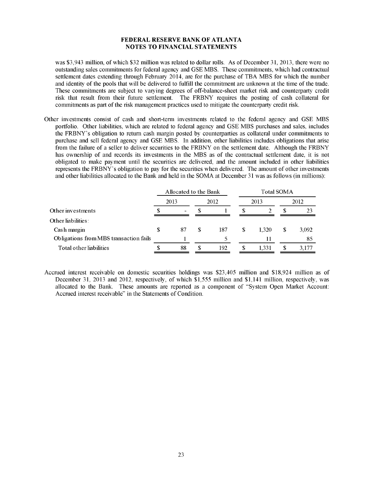was \$3,943 million, of which \$32 million was related to dollar rolls. As of December 31, 2013, there were no outstanding sales commitments for federal agency and GSE MBS. These commitments, which had contractual settlement dates extending through February 2014, are for the purchase of TBA MBS for which the number and identity of the pools that will be delivered to fulfill the commitment are unknown at the time of the trade. These commitments are subject to varying degrees of off-balance-sheet market risk and counterparty credit risk that result from their future settlement. The FRBNY requires the posting of cash collateral for commitments as part of the risk management practices used to mitigate the counterparty credit risk.

Other investments consist of cash and short-term investments related to the federal agency and GSE MBS portfolio. Other liabilities, which are related to federal agency and GSE MBS purchases and sales, includes the FRBNY's obligation to return cash margin posted by counterparties as collateral under commitments to purchase and sell federal agency and GSE MBS. In addition, other liabilities includes obligations that arise from the failure of a seller to deliver securities to the FRBNY on the settlement date. Although the FRBNY has ownership of and records its investments in the MBS as of the contractual settlement date, it is not obligated to make payment until the securities are delivered, and the amount included in other liabilities represents the FRBNY's obligation to pay for the securities when delivered. The amount of other investments and other liabilities allocated to the Bank and held in the SOMA at December 31 was as follows (in millions):

|                                        | Allocated to the Bank    |   |      |   | <b>Total SOMA</b> |   |       |
|----------------------------------------|--------------------------|---|------|---|-------------------|---|-------|
|                                        | 2013                     |   | 2012 |   | 2013              |   | 2012  |
| Other investments                      | $\overline{\phantom{0}}$ |   |      |   |                   |   | 23    |
| Other liabilities:                     |                          |   |      |   |                   |   |       |
| Cash margin                            | \$<br>87                 | S | 187  | S | 1.320             | S | 3,092 |
| Obligations from MBS transaction fails |                          |   |      |   |                   |   | 85    |
| Total other liabilities                | 88                       | S | 192  |   | 1.331             |   | 3,177 |

Accrued interest receivable on domestic securities holdings was \$23,405 million and \$18,924 million as of December 31, 2013 and 2012, respectively, of which \$1,555 million and \$1,141 million, respectively, was allocated to the Bank. These amounts are reported as a component of "System Open Market Account: Accrued interest receivable" in the Statements of Condition.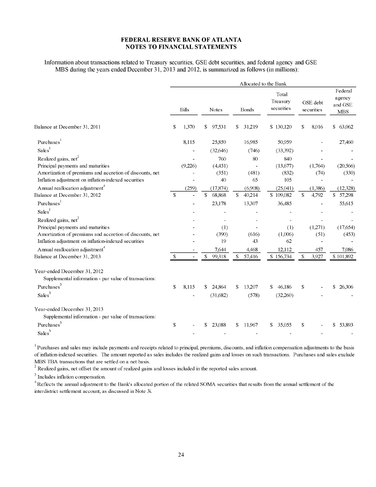Information about transactions related to Treasury securities, GSE debt securities, and federal agency and GSE MBS during the years ended December 31, 2013 and 2012, is summarized as follows (in millions):

|                                                                                       |               |                |              |              |              | Allocated to the Bank |                                 |    |                        |                                            |
|---------------------------------------------------------------------------------------|---------------|----------------|--------------|--------------|--------------|-----------------------|---------------------------------|----|------------------------|--------------------------------------------|
|                                                                                       |               | <b>Bills</b>   |              | <b>Notes</b> |              | <b>Bonds</b>          | Total<br>Treasury<br>securities |    | GSE debt<br>securities | Federal<br>agency<br>and GSE<br><b>MBS</b> |
| Balance at December 31, 2011                                                          | \$            | 1,370          | \$           | 97,531       | S.           | 31.219                | \$130,120                       | \$ | 8.016                  | \$63,062                                   |
| Purchases <sup>1</sup>                                                                |               | 8.115          |              | 25,859       |              | 16.985                | 50.959                          |    |                        | 27,460                                     |
| Sales <sup>1</sup>                                                                    |               |                |              | (32,646)     |              | (746)                 | (33,392)                        |    |                        |                                            |
| Realized gains, net <sup>2</sup>                                                      |               |                |              | 760          |              | 80                    | 840                             |    |                        |                                            |
| Principal payments and maturities                                                     |               | (9,226)        |              | (4,451)      |              |                       | (13,677)                        |    | (1,764)                | (20,566)                                   |
| Amortization of premiums and accretion of discounts, net                              |               |                |              | (351)        |              | (481)                 | (832)                           |    | (74)                   | (330)                                      |
| Inflation adjustment on inflation-indexed securities                                  |               |                |              | 40           |              | 65                    | 105                             |    |                        |                                            |
| Annual reallocation adjustment <sup>4</sup>                                           |               | (259)          |              | (17, 874)    |              | (6.908)               | (25,041)                        |    | (1,386)                | (12.328)                                   |
| Balance at December 31, 2012                                                          | <sup>\$</sup> |                | $\mathbb{S}$ | 68,868       | S.           | 40,214                | \$109,082                       | S. | 4,792                  | \$57,298                                   |
| Purchases <sup>1</sup>                                                                |               |                |              | 23,178       |              | 13,307                | 36,485                          |    | ÷,                     | 55,615                                     |
| Sales <sup>1</sup>                                                                    |               |                |              |              |              |                       |                                 |    |                        |                                            |
| Realized gains, net <sup>2</sup>                                                      |               |                |              |              |              |                       |                                 |    |                        |                                            |
| Principal payments and maturities                                                     |               |                |              | (1)          |              |                       | (1)                             |    | (1,271)                | (17,654)                                   |
| Amortization of premiums and accretion of discounts, net                              |               |                |              | (390)        |              | (616)                 | (1,006)                         |    | (51)                   | (453)                                      |
| Inflation adjustment on inflation-indexed securities                                  |               |                |              | 19           |              | 43                    | 62                              |    |                        |                                            |
| Annual reallocation adjustment <sup>4</sup>                                           |               |                |              | 7,644        |              | 4,468                 | 12,112                          |    | 457                    | 7,086                                      |
| Balance at December 31, 2013                                                          | \$            | $\blacksquare$ | $\mathbb{S}$ | 99,318       | $\mathbb{S}$ | 57,416                | \$156,734                       | S  | 3,927                  | \$101,892                                  |
| Year-ended December 31, 2012<br>Supplemental information - par value of transactions: |               |                |              |              |              |                       |                                 |    |                        |                                            |
| Purchases <sup>3</sup>                                                                | \$            | 8,115          | S.           | 24,864       | \$.          | 13,207                | \$<br>46,186                    | \$ |                        | \$ 26,306                                  |
| Sales $3$                                                                             |               |                |              | (31,682)     |              | (578)                 | (32,260)                        |    |                        |                                            |
| Year-ended December 31, 2013                                                          |               |                |              |              |              |                       |                                 |    |                        |                                            |
| Supplemental information - par value of transactions:                                 |               |                |              |              |              |                       |                                 |    |                        |                                            |
| Purchases <sup>3</sup>                                                                | \$            |                |              | 23,088       | S.           | 11,967                | \$35,055                        | \$ |                        | \$<br>53,893                               |
| Sales <sup>3</sup>                                                                    |               |                |              |              |              |                       |                                 |    |                        |                                            |

 $1$  Purchases and sales may include payments and receipts related to principal, premiums, discounts, and inflation compensation adjustments to the basis of inflation-indexed securities. The amount reported as sales includes the realized gains and losses on such transactions. Purchases and sales exclude MBS TBA transactions that are settled on a net basis.

 $2$  Realized gains, net offset the amount of realized gains and losses included in the reported sales amount.

 $3$  Includes inflation compensation.

<sup>4</sup> Reflects the annual adjustment to the Bank's allocated portion of the related SOMA securities that results from the annual settlement of the interdistrict settlement account, as discussed in Note 3i.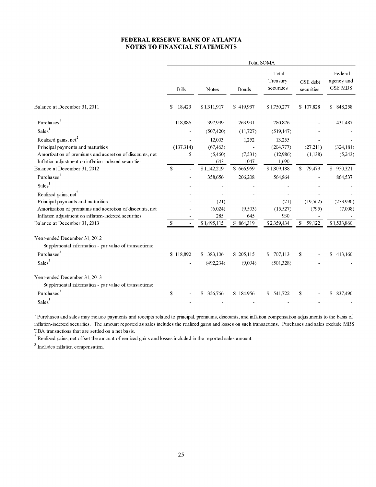# FEDERAL RESERVE BANK OF ATLANTA

|                                                          |                              |               |            | Total SOMA                      |                        |                                         |
|----------------------------------------------------------|------------------------------|---------------|------------|---------------------------------|------------------------|-----------------------------------------|
|                                                          | Bills                        | Notes         | Bonds      | Total<br>Treasury<br>securities | GSE debt<br>securities | Federal<br>agency and<br><b>GSE MBS</b> |
| Balance at December 31, 2011                             | 18,423<br>S.                 | \$1,311,917   | \$419,937  | \$1,750,277                     | \$107,828              | \$848,258                               |
| Purchases <sup>1</sup>                                   | 118,886                      | 397,999       | 263,991    | 780,876                         |                        | 431,487                                 |
| Sales <sup>1</sup>                                       |                              | (507, 420)    | (11,727)   | (519, 147)                      |                        |                                         |
| Realized gains, net <sup>2</sup>                         |                              | 12,003        | 1,252      | 13,255                          |                        |                                         |
| Principal payments and maturities                        | (137,314)                    | (67, 463)     |            | (204,777)                       | (27,211)               | (324, 181)                              |
| Amortization of premiums and accretion of discounts, net | 5                            | (5,460)       | (7,531)    | (12,986)                        | (1,138)                | (5,243)                                 |
| Inflation adjustment on inflation-indexed securities     |                              | 643           | 1,047      | 1,690                           |                        |                                         |
| Balance at December 31, 2012                             | $\mathbf{s}$<br>$\mathbf{r}$ | \$1,142,219   | \$ 666,969 | \$1,809,188                     | \$79,479               | \$950,321                               |
| Purchases <sup>1</sup>                                   |                              | 358,656       | 206,208    | 564,864                         |                        | 864,537                                 |
| Sales <sup>1</sup>                                       |                              |               |            |                                 |                        |                                         |
| Realized gains, net <sup>2</sup>                         |                              |               |            |                                 |                        |                                         |
| Principal payments and maturities                        |                              | (21)          |            | (21)                            | (19,562)               | (273,990)                               |
| Amortization of premiums and accretion of discounts, net |                              | (6,024)       | (9,503)    | (15,527)                        | (795)                  | (7,008)                                 |
| Inflation adjustment on inflation-indexed securities     |                              | 285           | 645        | 930                             |                        |                                         |
| Balance at December 31, 2013                             | \$                           | \$1,495,115   | \$864,319  | \$2,359,434                     | \$59,122               | \$1,533,860                             |
| Year-ended December 31, 2012                             |                              |               |            |                                 |                        |                                         |
| Supplemental information - par value of transactions:    |                              |               |            |                                 |                        |                                         |
| Purchases <sup>3</sup>                                   | \$118,892                    | \$ 383,106    | \$205,115  | \$707,113                       | \$                     | \$413,160                               |
| Sales <sup>3</sup>                                       |                              | (492, 234)    | (9,094)    | (501.328)                       |                        |                                         |
| Year-ended December 31, 2013                             |                              |               |            |                                 |                        |                                         |
| Supplemental information - par value of transactions:    |                              |               |            |                                 |                        |                                         |
| Purchases <sup>3</sup>                                   | \$                           | 356,766<br>S. | \$184,956  | \$ 541,722                      | \$                     | \$837,490                               |
| Sales <sup>3</sup>                                       |                              |               |            |                                 |                        |                                         |

<sup>1</sup> Purchases and sales may include payments and receipts related to principal, premiums, discounts, and inflation compensation adjustments to the basis of inflation-indexed securities. The amount reported as sales includes the realized gains and losses on such transactions. Purchases and sales exclude MBS TBA transactions that are settled on a net basis.

 $2$  Realized gains, net offset the amount of realized gains and losses included in the reported sales amount.

 $3$  Includes inflation compensation.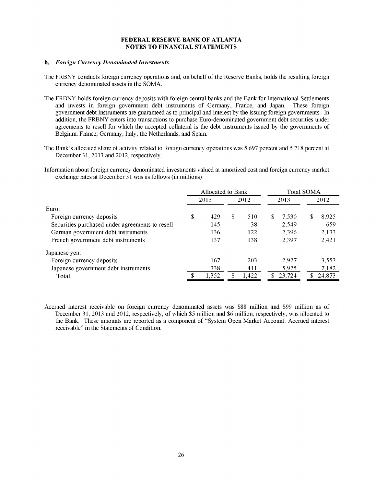#### **b.** *Foreign Currency Denominated Investments*

- The FRBNY conducts foreign currency operations and, on behalf of the Reserve Banks, holds the resulting foreign currency denominated assets in the SOMA.
- The FRBNY holds foreign currency deposits with foreign central banks and the Bank for International Settlements and invests in foreign government debt instruments of Germany, France, and Japan. These foreign government debt instruments are guaranteed as to principal and interest by the issuing foreign governments. In addition, the FRBNY enters into transactions to purchase Euro-denominated government debt securities under agreements to resell for which the accepted collateral is the debt instruments issued by the governments of Belgium, France, Germany, Italy, the Netherlands, and Spain.
- The Bank's allocated share of activity related to foreign currency operations was 5.697 percent and 5.718 percent at December 31, 2013 and 2012, respectively.
- Information about foreign currency denominated investments valued at amortized cost and foreign currency market exchange rates at December 31 was as follows (in millions):

|                                                 | Allocated to Bank |    |       |    | <b>Total SOMA</b> |             |
|-------------------------------------------------|-------------------|----|-------|----|-------------------|-------------|
|                                                 | 2013              |    | 2012  |    | 2013              | 2012        |
| $E$ uro:                                        |                   |    |       |    |                   |             |
| Foreign currency deposits                       | \$<br>429         | S. | 510   | S. | 7.530             | \$<br>8,925 |
| Securities purchased under agreements to resell | 145               |    | 38    |    | 2,549             | 659         |
| German government debt instruments              | 136               |    | 122   |    | 2.396             | 2,133       |
| French government debt instruments              | 137               |    | 138   |    | 2.397             | 2,421       |
| Japanese yen:                                   |                   |    |       |    |                   |             |
| Foreign currency deposits                       | 167               |    | 203   |    | 2.927             | 3,553       |
| Japanese government debt instruments            | 338               |    | 411   |    | 5.925             | 7,182       |
| Total                                           | 1,352             |    | 1,422 |    | 23.724            | 24,873      |
|                                                 |                   |    |       |    |                   |             |

Accrued interest receivable on foreign currency denominated assets was \$88 million and \$99 million as of December 31, 2013 and 2012, respectively, of which \$5 million and \$6 million, respectively, was allocated to the Bank. These amounts are reported as a component of "System Open Market Account: Accrued interest receivable" in the Statements of Condition.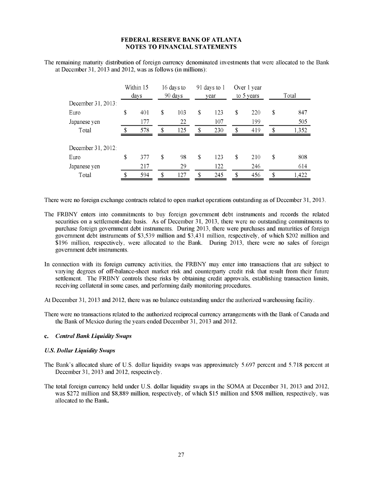The remaining maturity distribution of foreign currency denominated investments that were allocated to the Bank at December 31, 2013 and 2012, was as follows (in millions):

|                    | Within 15<br>days |    | 16 days to<br>90 days | 91 days to 1<br>year | Over 1 year<br>to 5 years | Total       |
|--------------------|-------------------|----|-----------------------|----------------------|---------------------------|-------------|
| December 31, 2013: |                   |    |                       |                      |                           |             |
| Euro               | \$<br>401         | \$ | 103                   | \$<br>123            | \$<br>220                 | \$<br>847   |
| Japanese yen       | 177               |    | 22                    | 107                  | 199                       | 505         |
| Total              | 578               |    | 125                   | 230                  | \$<br>419                 | \$<br>1,352 |
| December 31, 2012. |                   |    |                       |                      |                           |             |
| Euro               | \$<br>377         | -S | 98                    | \$<br>123            | \$<br>210                 | \$<br>808   |
| Japanese yen       | 217               |    | 29                    | 122                  | 246                       | 614         |
| Total              | 594               |    | 127                   | 245                  | 456                       | 1,422       |

There were no foreign exchange contracts related to open market operations outstanding as of December 31, 2013.

- The FRBNY enters into commitments to buy foreign government debt instruments and records the related securities on a settlement-date basis. As of December 31, 2013, there were no outstanding commitments to purchase foreign government debt instruments. During 2013, there were purchases and maturities of foreign government debt instruments of \$3,539 million and \$3,431 million, respectively, of which \$202 million and \$196 million, respectively, were allocated to the Bank. During 2013, there were no sales of foreign government debt instruments.
- In connection with its foreign currency activities, the FRBNY may enter into transactions that are subject to varying degrees of off-balance-sheet market risk and counterparty credit risk that result from their future settlement. The FRBNY controls these risks by obtaining credit approvals, establishing transaction limits, receiving collateral in some cases, and performing daily monitoring procedures.
- At December 31, 2013 and 2012, there was no balance outstanding under the authorized warehousing facility.
- There were no transactions related to the authorized reciprocal currency arrangements with the Bank of Canada and the Bank of Mexico during the years ended December 31, 2013 and 2012.
- **c.** *Central Bank Liquidity Swaps*

#### *U.S. Dollar Liquidity Swaps*

- The Bank's allocated share of U.S. dollar liquidity swaps was approximately 5.697 percent and 5.718 percent at December 31, 2013 and 2012, respectively.
- The total foreign currency held under U.S. dollar liquidity swaps in the SOMA at December 31, 2013 and 2012, was \$272 million and \$8,889 million, respectively, of which \$15 million and \$508 million, respectively, was allocated to the Bank.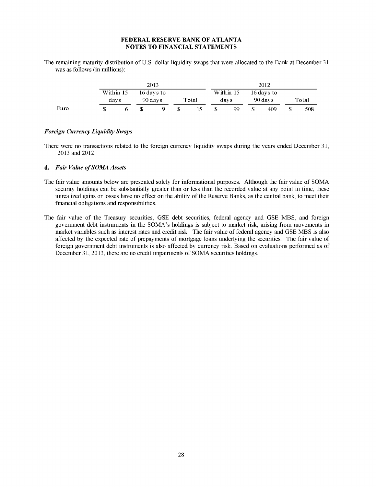The remaining maturity distribution of U.S. dollar liquidity swaps that were allocated to the Bank at December 31 was as follows (in millions):

|      |           | 2013       |    |       |  |           | 2012       |           |
|------|-----------|------------|----|-------|--|-----------|------------|-----------|
|      | Within 15 | 16 days to |    |       |  | Within 15 | 16 days to |           |
|      | days      | 90 days    |    | Total |  | days      | 90 days    | Total     |
| Euro | n         | S.         | -S | 15    |  | 99        | \$<br>409  | \$<br>508 |

#### *Foreign Currency Liquidity Swaps*

There were no transactions related to the foreign currency liquidity swaps during the years ended December 31, 2013 and 2012.

#### **d.** *Fair Value of SOMA Assets*

- The fair value amounts below are presented solely for informational purposes. Although the fair value of SOMA security holdings can be substantially greater than or less than the recorded value at any point in time, these unrealized gains or losses have no effect on the ability of the Reserve Banks, as the central bank, to meet their financial obligations and responsibilities.
- The fair value of the Treasury securities, GSE debt securities, federal agency and GSE MBS, and foreign government debt instruments in the SOMA's holdings is subject to market risk, arising from movements in market variables such as interest rates and credit risk. The fair value of federal agency and GSE MBS is also affected by the expected rate of prepayments of mortgage loans underlying the securities. The fair value of foreign government debt instruments is also affected by currency risk. Based on evaluations performed as of December 31, 2013, there are no credit impairments of SOMA securities holdings.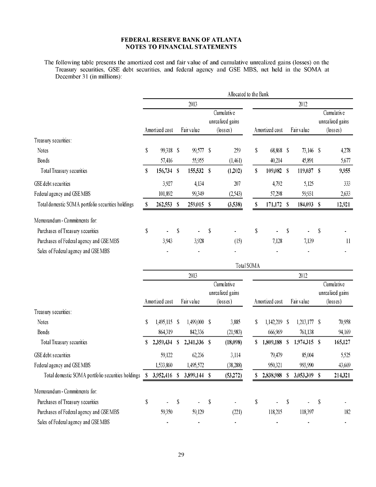The following table presents the amortized cost and fair value of and cumulative unrealized gains (losses) on the Treasury securities, GSE debt securities, and federal agency and GSE MBS, net held in the SOMA at December 31 (in millions):

|                                                   |    |                |              |            |              | Allocated to the Bank                               |             |                |              |                |    |                                                     |
|---------------------------------------------------|----|----------------|--------------|------------|--------------|-----------------------------------------------------|-------------|----------------|--------------|----------------|----|-----------------------------------------------------|
|                                                   |    |                |              | 2013       |              |                                                     |             |                |              | 2012           |    |                                                     |
|                                                   |    | Amortized cost |              | Fair value |              | Cumulative<br>unrealized gains<br>$(\text{losses})$ |             | Amortized cost |              | Fair value     |    | Cumulative<br>unrealized gains<br>$(\text{losses})$ |
| Treasury securities:                              |    |                |              |            |              |                                                     |             |                |              |                |    |                                                     |
| Notes                                             | \$ | 99,318 \$      |              | 99,577 \$  |              | 259                                                 | S.          | 68,868 \$      |              | 73,146 \$      |    | 4,278                                               |
| Bonds                                             |    | 57,416         |              | 55,955     |              | (1,461)                                             |             | 40,214         |              | 45,891         |    | 5,677                                               |
| Total Treasury securities                         | S  | 156,734 \$     |              | 155,532 \$ |              | (1,202)                                             | $\mathbf S$ | 109,082 \$     |              | 119,037 \$     |    | 9,955                                               |
| GSE debt securities                               |    | 3,927          |              | 4.134      |              | 207                                                 |             | 4,792          |              | 5,125          |    | 333                                                 |
| Federal agency and GSE MBS                        |    | 101,892        |              | 99,349     |              | (2,543)                                             |             | 57,298         |              | 59,931         |    | 2,633                                               |
| Total domestic SOMA portfolio securities holdings |    | 262,553 \$     |              | 259,015 \$ |              | (3,538)                                             | S           | $171,172$ \$   |              | 184,093        | -S | 12,921                                              |
| Memorandum - Commitments for:                     |    |                |              |            |              |                                                     |             |                |              |                |    |                                                     |
| Purchases of Treasury securities                  | \$ |                | <sup>S</sup> |            | <sup>S</sup> | $\blacksquare$                                      | $\mathbf S$ |                | <sup>S</sup> | $\blacksquare$ | \$ |                                                     |
| Purchases of Federal agency and GSE MBS           |    | 3,943          |              | 3,928      |              | (15)                                                |             | 7,128          |              | 7,139          |    | 11                                                  |
| Sales of Federal agency and GSE MBS               |    |                |              |            |              | $\blacksquare$                                      |             |                |              |                |    |                                                     |
|                                                   |    |                |              |            |              | Total SOMA                                          |             |                |              |                |    |                                                     |
|                                                   |    |                |              | 2013       |              |                                                     |             |                |              | 2012           |    |                                                     |
|                                                   |    |                |              |            |              | Cumulative                                          |             |                |              |                |    | Cumulative                                          |

|                                                   |    |                |    |                |    | unrealized gains  |    |                |    |                |    | unrealized gains  |
|---------------------------------------------------|----|----------------|----|----------------|----|-------------------|----|----------------|----|----------------|----|-------------------|
|                                                   |    | Amortized cost |    | Fair value     |    | $(\text{losses})$ |    | Amortized cost |    | Fair value     |    | $(\text{losses})$ |
| Treasury securities:                              |    |                |    |                |    |                   |    |                |    |                |    |                   |
| <b>Notes</b>                                      | \$ | $1,495,115$ \$ |    | 1,499,000      | S  | 3,885             | S  | 1,142,219      | S  | $1,213,177$ \$ |    | 70,958            |
| <b>Bonds</b>                                      |    | 864,319        |    | 842,336        |    | (21,983)          |    | 666,969        |    | 761,138        |    | 94,169            |
| Total Treasury securities                         | S  | 2,359,434      | S  | 2,341,336      | S  | (18,098)          | S  | 1,809,188      | S  | 1,974,315 \$   |    | 165,127           |
| GSE debt securities                               |    | 59,122         |    | 62,236         |    | 3,114             |    | 79,479         |    | 85,004         |    | 5,525             |
| Federal agency and GSE MBS                        |    | 1,533,860      |    | 1,495,572      |    | (38, 288)         |    | 950,321        |    | 993,990        |    | 43,669            |
| Total domestic SOMA portfolio securities holdings |    | 3,952,416      | -8 | 3,899,144 \$   |    | (53,272)          |    | 2,838,988      | S  | $3,053,309$ \$ |    | 214,321           |
| Memorandum - Commitments for:                     |    |                |    |                |    |                   |    |                |    |                |    |                   |
| Purchases of Treasury securities                  | \$ | $\blacksquare$ | S  | $\blacksquare$ | \$ | $\blacksquare$    | \$ | $\blacksquare$ | \$ |                | -S |                   |
| Purchases of Federal agency and GSE MBS           |    | 59,350         |    | 59,129         |    | (221)             |    | 118,215        |    | 118,397        |    | 182               |
| Sales of Federal agency and GSE MBS               |    |                |    |                |    |                   |    |                |    |                |    |                   |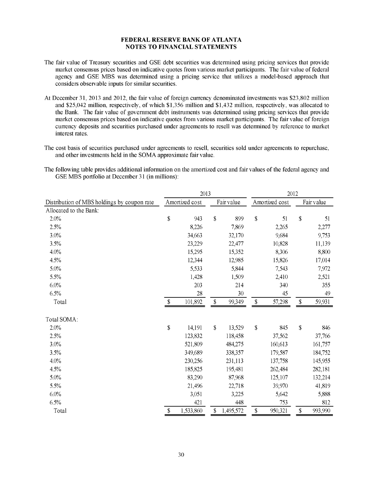- The fair value of Treasury securities and GSE debt securities was determined using pricing services that provide market consensus prices based on indicative quotes from various market participants. The fair value of federal agency and GSE MBS was determined using a pricing service that utilizes a model-based approach that considers observable inputs for similar securities.
- At December 31, 2013 and 2012, the fair value of foreign currency denominated investments was \$23,802 million and \$25,042 million, respectively, of which \$1,356 million and \$1,432 million, respectively, was allocated to the Bank. The fair value of government debt instruments was determined using pricing services that provide market consensus prices based on indicative quotes from various market participants. The fair value of foreign currency deposits and securities purchased under agreements to resell was determined by reference to market interest rates.
- The cost basis of securities purchased under agreements to resell, securities sold under agreements to repurchase, and other investments held in the SOMA approximate fair value.
- The following table provides additional information on the amortized cost and fair values of the federal agency and GSE MBS portfolio at December 31 (in millions):

|                                             |                           | 2013           |               |            | 2012           |      |            |
|---------------------------------------------|---------------------------|----------------|---------------|------------|----------------|------|------------|
| Distribution of MBS holdings by coupon rate |                           | Amortized cost |               | Fair value | Amortized cost |      | Fair value |
| Allocated to the Bank:                      |                           |                |               |            |                |      |            |
| 2.0%                                        | \$                        | 943            | \$            | 899        | \$<br>51       | \$   | 51         |
| 2.5%                                        |                           | 8,226          |               | 7,869      | 2,265          |      | 2,277      |
| 3.0%                                        |                           | 34,663         |               | 32,170     | 9,684          |      | 9,753      |
| 3.5%                                        |                           | 23,229         |               | 22,477     | 10,828         |      | 11,139     |
| 4.0%                                        |                           | 15,295         |               | 15,352     | 8,306          |      | 8,800      |
| 4.5%                                        |                           | 12,344         |               | 12,985     | 15,826         |      | 17,014     |
| 5.0%                                        |                           | 5,533          |               | 5,844      | 7,543          |      | 7,972      |
| 5.5%                                        |                           | 1,428          |               | 1,509      | 2,410          |      | 2,521      |
| 6.0%                                        |                           | 203            |               | 214        | 340            |      | 355        |
| 6.5%                                        |                           | 28             |               | 30         | 45             |      | 49         |
| Total                                       | $\boldsymbol{\mathsf{S}}$ | 101,892        | $\$$          | 99,349     | \$<br>57,298   | $\,$ | 59,931     |
| Total SOMA:                                 |                           |                |               |            |                |      |            |
| 2.0%                                        | \$                        | 14,191         | $\mathcal{S}$ | 13,529     | \$<br>845      | \$   | 846        |
| 2.5%                                        |                           | 123,832        |               | 118,458    | 37,562         |      | 37,766     |
| 3.0%                                        |                           | 521,809        |               | 484,275    | 160,613        |      | 161,757    |
| 3.5%                                        |                           | 349,689        |               | 338,357    | 179,587        |      | 184,752    |
| 4.0%                                        |                           | 230,256        |               | 231,113    | 137,758        |      | 145,955    |
| 4.5%                                        |                           | 185,825        |               | 195,481    | 262,484        |      | 282,181    |
| 5.0%                                        |                           | 83,290         |               | 87,968     | 125,107        |      | 132,214    |
| 5.5%                                        |                           | 21,496         |               | 22,718     | 39,970         |      | 41,819     |
| 6.0%                                        |                           | 3,051          |               | 3,225      | 5,642          |      | 5,888      |
| 6.5%                                        |                           | 421            |               | 448        | 753            |      | 812        |
| Total                                       | \$                        | 1,533,860      | \$            | 1,495,572  | \$<br>950,321  | \$   | 993,990    |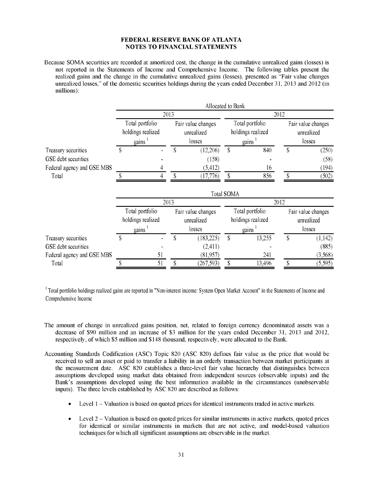Because SOMA securities are recorded at amortized cost, the change in the cumulative unrealized gains (losses) is not reported in the Statements of Income and Comprehensive Income. The following tables present the realized gains and the change in the cumulative unrealized gains (losses), presented as "Fair value changes unrealized losses," of the domestic securities holdings during the years ended December 31, 2013 and 2012 (in millions):

|                            |                                                   |    |      | Allocated to Bank                          |                   |                                               |             |                                                     |
|----------------------------|---------------------------------------------------|----|------|--------------------------------------------|-------------------|-----------------------------------------------|-------------|-----------------------------------------------------|
|                            |                                                   |    | 2013 |                                            |                   |                                               | 2012        |                                                     |
|                            | Total portfolio<br>holdings realized<br>gains $1$ |    |      | Fair value changes<br>unrealized<br>losses |                   | Total portfolio<br>holdings realized<br>gains |             | Fair value changes<br>unrealized<br>losses          |
| Treasury securities        | \$                                                |    | \$   | (12,206)                                   | \$                | 840                                           | $\mathbf S$ | (250)                                               |
| GSE debt securities        |                                                   |    |      | (158)                                      |                   |                                               |             | (58)                                                |
| Federal agency and GSE MBS |                                                   |    |      | (5,412)                                    |                   | 16                                            |             | (194)                                               |
|                            |                                                   |    |      |                                            |                   |                                               |             |                                                     |
| Total                      |                                                   | 4  | \$   | (17,776)                                   | S                 | 856                                           | S           |                                                     |
|                            |                                                   |    |      |                                            | <b>Total SOMA</b> |                                               |             |                                                     |
|                            |                                                   |    | 2013 |                                            |                   |                                               | 2012        |                                                     |
|                            | Total portfolio                                   |    |      | Fair value changes                         |                   | Total portfolio                               |             |                                                     |
|                            | holdings realized<br>$\frac{1}{2}$                |    |      | unrealized<br>losses                       |                   | holdings realized<br>gains                    |             | (502)<br>Fair value changes<br>unrealized<br>losses |
| Treasury securities        | S                                                 |    | \$   | (183, 225)                                 | \$                | 13,255                                        | S           | (1,142)                                             |
| GSE debt securities        |                                                   |    |      | (2,411)                                    |                   |                                               |             | (885)                                               |
| Federal agency and GSE MBS |                                                   | 51 |      | (81,957)                                   |                   | 241                                           |             | (3,568)                                             |

<sup>1</sup> Total portfolio holdings realized gains are reported in "Non-interest income: System Open Market Account" in the Statements of Income and Comprehensive Income

- The amount of change in unrealized gains position, net, related to foreign currency denominated assets was a decrease of \$90 million and an increase of \$3 million for the years ended December 31, 2013 and 2012, respectively, of which \$5 million and \$148 thousand, respectively, were allocated to the Bank.
- Accounting Standards Codification (ASC) Topic 820 (ASC 820) defines fair value as the price that would be received to sell an asset or paid to transfer a liability in an orderly transaction between market participants at the measurement date. ASC 820 establishes a three-level fair value hierarchy that distinguishes between assumptions developed using market data obtained from independent sources (observable inputs) and the Bank's assumptions developed using the best information available in the circumstances (unobservable inputs). The three levels established by ASC 820 are described as follows:
	- Level 1 Valuation is based on quoted prices for identical instruments traded in active markets.
	- Level 2 Valuation is based on quoted prices for similar instruments in active markets, quoted prices for identical or similar instruments in markets that are not active, and model-based valuation techniques for which all significant assumptions are observable in the market.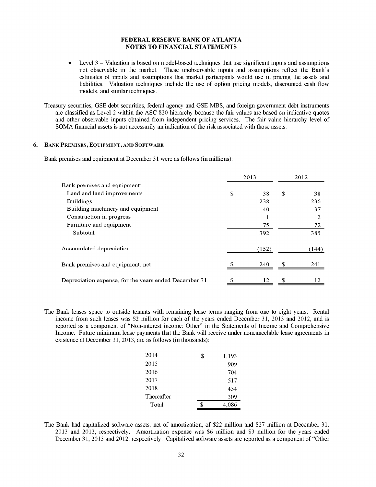- Level 3 Valuation is based on model-based techniques that use significant inputs and assumptions not observable in the market. These unobservable inputs and assumptions reflect the Bank's estimates of inputs and assumptions that market participants would use in pricing the assets and liabilities. Valuation techniques include the use of option pricing models, discounted cash flow models, and similar techniques.
- Treasury securities, GSE debt securities, federal agency and GSE MBS, and foreign government debt instruments are classified as Level 2 within the ASC 820 hierarchy because the fair values are based on indicative quotes and other observable inputs obtained from independent pricing services. The fair value hierarchy level of SOMA financial assets is not necessarily an indication of the risk associated with those assets.

#### **6. BANK PREMISES, EQUIPMENT, AND SOFTWARE**

Bank premises and equipment at December 31 were as follows (in millions):

|                                                       | 2013     |    | 2012  |
|-------------------------------------------------------|----------|----|-------|
| Bank premises and equipment:                          |          |    |       |
| Land and land improvements                            | \$<br>38 | \$ | 38    |
| <b>Buildings</b>                                      | 238      |    | 236   |
| Building machinery and equipment                      | 40       |    | 37    |
| Construction in progress                              |          |    | 2     |
| Furniture and equipment                               | 75       |    | 72    |
| Subtotal                                              | 392      |    | 385   |
| Accumulated depreciation                              | (152)    |    | (144) |
| Bank premises and equipment, net                      | 240      | £. | 241   |
| Depreciation expense, for the years ended December 31 | \$<br>12 | \$ | 12    |

The Bank leases space to outside tenants with remaining lease terms ranging from one to eight years. Rental income from such leases was \$2 million for each of the years ended December 31, 2013 and 2012, and is reported as a component of "Non-interest income: Other" in the Statements of Income and Comprehensive Income. Future minimum lease payments that the Bank will receive under noncancelable lease agreements in existence at December 31, 2013, are as follows (in thousands):

| 2014       | \$<br>1,193 |
|------------|-------------|
| 2015       | 909         |
| 2016       | 704         |
| 2017       | 517         |
| 2018       | 454         |
| Thereafter | 309         |
| Total      | 4,086       |

The Bank had capitalized software assets, net of amortization, of \$22 million and \$27 million at December 31, 2013 and 2012, respectively. Amortization expense was \$6 million and \$3 million for the years ended December 31, 2013 and 2012, respectively. Capitalized software assets are reported as a component of "Other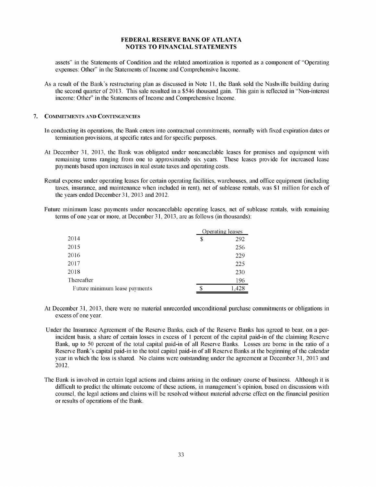assets" in the Statements of Condition and the related amortization is reported as a component of "Operating expenses: Other" in the Statements of Income and Comprehensive Income.

As a result of the Bank's restructuring plan as discussed in Note 11, the Bank sold the Nashville building during the second quarter of 2013. This sale resulted in a \$546 thousand gain. This gain is reflected in "Non-interest income: Other" in the Statements of Income and Comprehensive Income.

#### 7. **COMMITMENTS AND CONTINGENCIES**

- In conducting its operations, the Bank enters into contractual commitments, normally with fixed expiration dates or termination provisions, at specific rates and for specific purposes.
- At December 31, 2013, the Bank was obligated under noncancelable leases for premises and equipment with remaining terms ranging from one to approximately six years. These leases provide for increased lease payments based upon increases in real estate taxes and operating costs.
- Rental expense under operating leases for certain operating facilities, warehouses, and office equipment (including taxes, insurance, and maintenance when included in rent), net of sublease rentals, was \$1 million for each of the years ended December 31, 2013 and 2012.
- Future minimum lease payments under noncancelable operating leases, net of sublease rentals, with remaining terms of one year or more, at December 31, 2013, are as follows (in thousands):

|                               | Operating leases |
|-------------------------------|------------------|
| 2014                          | \$<br>292        |
| 2015                          | 256              |
| 2016                          | 229              |
| 2017                          | 225              |
| 2018                          | 230              |
| Thereafter                    | 196              |
| Future minimum lease payments | 1,428            |

- At December 31, 2013, there were no material unrecorded unconditional purchase commitments or obligations in excess of one year.
- Under the Insurance Agreement of the Reserve Banks, each of the Reserve Banks has agreed to bear, on a perincident basis, a share of certain losses in excess of 1 percent of the capital paid-in of the claiming Reserve Bank, up to 50 percent of the total capital paid-in of all Reserve Banks. Losses are borne in the ratio of a Reserve Bank's capital paid-in to the total capital paid-in of all Reserve Banks at the beginning of the calendar year in which the loss is shared. No claims were outstanding under the agreement at December 31, 2013 and 2012.
- The Bank is involved in certain legal actions and claims arising in the ordinary course of business. Although it is difficult to predict the ultimate outcome of these actions, in management's opinion, based on discussions with counsel, the legal actions and claims will be resolved without material adverse effect on the financial position or results of operations of the Bank.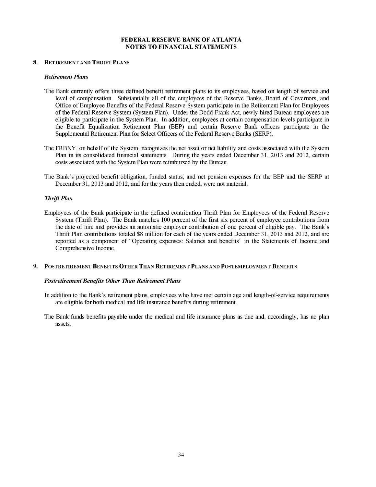#### **8. RETIREMENT AND THRIFT PLANS**

#### *Retirement Plans*

- The Bank currently offers three defined benefit retirement plans to its employees, based on length of service and level of compensation. Substantially all of the employees of the Reserve Banks, Board of Governors, and Office of Employee Benefits of the Federal Reserve System participate in the Retirement Plan for Employees of the Federal Reserve System (System Plan). Under the Dodd-Frank Act, newly hired Bureau employees are eligible to participate in the System Plan. In addition, employees at certain compensation levels participate in the Benefit Equalization Retirement Plan (BEP) and certain Reserve Bank officers participate in the Supplemental Retirement Plan for Select Officers of the Federal Reserve Banks (SERP).
- The FRBNY, on behalf of the System, recognizes the net asset or net liability and costs associated with the System Plan in its consolidated financial statements. During the years ended December 31, 2013 and 2012, certain costs associated with the System Plan were reimbursed by the Bureau.
- The Bank's projected benefit obligation, funded status, and net pension expenses for the BEP and the SERP at December 31, 2013 and 2012, and for the years then ended, were not material.

#### *Thrift Plan*

- Employees of the Bank participate in the defined contribution Thrift Plan for Employees of the Federal Reserve System (Thrift Plan). The Bank matches 100 percent of the first six percent of employee contributions from the date of hire and provides an automatic employer contribution of one percent of eligible pay. The Bank's Thrift Plan contributions totaled \$8 million for each of the years ended December 31, 2013 and 2012, and are reported as a component of "Operating expenses: Salaries and benefits" in the Statements of Income and Comprehensive Income.
- **9. POSTRETIREMENT BENEFITS OTHER THAN RETIREMENT PLANS AND POSTEMPLOYMENT BENEFITS**

#### *Postretirement Benefits Other Than Retirement Plans*

- In addition to the Bank's retirement plans, employees who have met certain age and length-of-service requirements are eligible for both medical and life insurance benefits during retirement.
- The Bank funds benefits payable under the medical and life insurance plans as due and, accordingly, has no plan assets.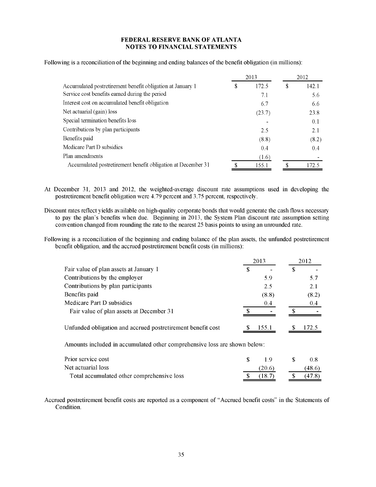Following is a reconciliation of the beginning and ending balances of the benefit obligation (in millions):

|                                                              |   | 2013   | 2012        |
|--------------------------------------------------------------|---|--------|-------------|
| Accumulated postretirement benefit obligation at January 1   | S | 172.5  | \$<br>142.1 |
| Service cost benefits earned during the period               |   | 7.1    | 5.6         |
| Interest cost on accumulated benefit obligation              |   | 6.7    | 6.6         |
| Net actuarial (gain) loss                                    |   | (23.7) | 23.8        |
| Special termination benefits loss                            |   |        | 0.1         |
| Contributions by plan participants                           |   | 2.5    | 2.1         |
| Benefits paid                                                |   | (8.8)  | (8.2)       |
| Medicare Part D subsidies                                    |   | 0.4    | 0.4         |
| Plan amendments                                              |   | (1.6)  |             |
| Accumulated postretirement benefit obligation at December 31 |   | 155.1  | 172.5       |

At December 31, 2013 and 2012, the weighted-average discount rate assumptions used in developing the postretirement benefit obligation were 4.79 percent and 3.75 percent, respectively.

Discount rates reflect yields available on high-quality corporate bonds that would generate the cash flows necessary to pay the plan's benefits when due. Beginning in 2013, the System Plan discount rate assumption setting convention changed from rounding the rate to the nearest 25 basis points to using an unrounded rate.

Following is a reconciliation of the beginning and ending balance of the plan assets, the unfunded postretirement benefit obligation, and the accrued postretirement benefit costs (in millions):

|                                                                           | 2013  | 2012  |
|---------------------------------------------------------------------------|-------|-------|
| Fair value of plan assets at January 1                                    | \$    | \$    |
| Contributions by the employer                                             | 5.9   | 5.7   |
| Contributions by plan participants                                        | 2.5   | 2.1   |
| Benefits paid                                                             | (8.8) | (8.2) |
| Medicare Part D subsidies                                                 | 0.4   | 0.4   |
| Fair value of plan assets at December 31                                  |       |       |
| Unfunded obligation and accrued postretirement benefit cost               | 155.1 | 172.5 |
| Amounts included in accumulated other comprehensive loss are shown below: |       |       |
| $\mathbf{r}$                                                              |       |       |

| Prior service cost                         |        |        |
|--------------------------------------------|--------|--------|
| Net actuarial loss                         | 20.6   | (48.6) |
| Total accumulated other comprehensive loss | (18.7) |        |

Accrued postretirement benefit costs are reported as a component of "Accrued benefit costs" in the Statements of Condition.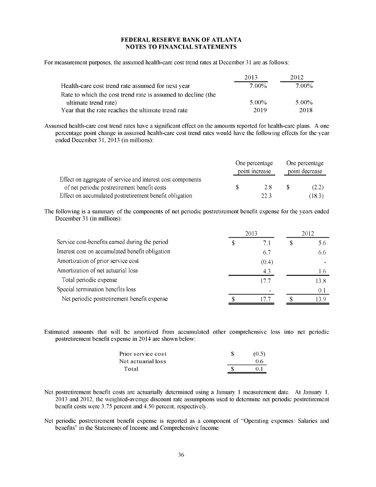For measurement purposes, the assumed health-care cost trend rates at December 31 are as follows:

|                                                              | 2013     | 2012     |
|--------------------------------------------------------------|----------|----------|
| Health-care cost trend rate assumed for next year            | $7.00\%$ | $7.00\%$ |
| Rate to which the cost trend rate is assumed to decline (the |          |          |
| ultimate trend rate)                                         | $5.00\%$ | $5.00\%$ |
| Year that the rate reaches the ultimate trend rate           | 2019     | 2018     |

Assumed health-care cost trend rates have a significant effect on the amounts reported for health-care plans. A one percentage point change in assumed health-care cost trend rates would have the following effects for the year ended December 31, 2013 (in millions):

|                                                             | One percentage<br>point increase | One percentage<br>point decrease |
|-------------------------------------------------------------|----------------------------------|----------------------------------|
| Effect on aggregate of service and interest cost components |                                  |                                  |
| of net periodic postretirement benefit costs                | 2.8                              | (2.2)                            |
| Effect on accumulated postretirement benefit obligation     | 22 3                             | (18.3)                           |

The following is a summary of the components of net periodic postretirement benefit expense for the years ended December 31 (in millions):

|                                                 | 2013      | 2012 |      |  |
|-------------------------------------------------|-----------|------|------|--|
| Service cost-benefits earned during the period  | \$<br>7.1 |      | 5.6  |  |
| Interest cost on accumulated benefit obligation | 6.7       |      | 6.6  |  |
| Amortization of prior service cost              | (0.4)     |      |      |  |
| Amortization of net actuarial loss              | 4.3       |      | 1.6  |  |
| Total periodic expense                          | 17.7      |      | 13.8 |  |
| Special termination benefits loss               |           |      | 0.1  |  |
| Net periodic postretirement benefit expense     | $17 -$    |      | 13.9 |  |

Estimated amounts that will be amortized from accumulated other comprehensive loss into net periodic postretirement benefit expense in 2014 are shown below:

| Prior service cost | (0.5) |
|--------------------|-------|
| Net actuarial loss | 06    |
| Total              |       |

- Net postretirement benefit costs are actuarially determined using a January 1 measurement date. At January 1, 2013 and 2012, the weighted-average discount rate assumptions used to determine net periodic postretirement benefit costs were 3.75 percent and 4.50 percent, respectively.
- Net periodic postretirement benefit expense is reported as a component of "Operating expenses: Salaries and benefits" in the Statements of Income and Comprehensive Income.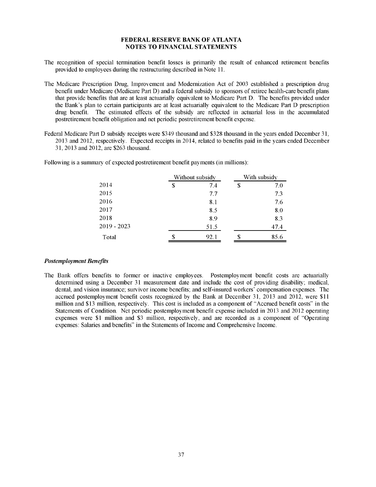- The recognition of special termination benefit losses is primarily the result of enhanced retirement benefits provided to employees during the restructuring described in Note 11.
- The Medicare Prescription Drug, Improvement and Modernization Act of 2003 established a prescription drug benefit under Medicare (Medicare Part D) and a federal subsidy to sponsors of retiree health-care benefit plans that provide benefits that are at least actuarially equivalent to Medicare Part D. The benefits provided under the Bank's plan to certain participants are at least actuarially equivalent to the Medicare Part D prescription drug benefit. The estimated effects of the subsidy are reflected in actuarial loss in the accumulated postretirement benefit obligation and net periodic postretirement benefit expense.
- Federal Medicare Part D subsidy receipts were \$349 thousand and \$328 thousand in the years ended December 31, 2013 and 2012, respectively. Expected receipts in 2014, related to benefits paid in the years ended December 31, 2013 and 2012, are \$263 thousand.

|               | Without subsidy |    | With subsidy |
|---------------|-----------------|----|--------------|
| 2014          | \$<br>7.4       | \$ | 7.0          |
| 2015          | 7.7             |    | 7.3          |
| 2016          | 8.1             |    | 7.6          |
| 2017          | 8.5             |    | 8.0          |
| 2018          | 8.9             |    | 8.3          |
| $2019 - 2023$ | 51.5            |    | 47.4         |
| Total         | 92.1            | S  | 85.6         |

Following is a summary of expected postretirement benefit payments (in millions):

#### *Postemployment Benefits*

The Bank offers benefits to former or inactive employees. Postemployment benefit costs are actuarially determined using a December 31 measurement date and include the cost of providing disability; medical, dental, and vision insurance; survivor income benefits; and self-insured workers' compensation expenses. The accrued postemployment benefit costs recognized by the Bank at December 31, 2013 and 2012, were \$11 million and \$13 million, respectively. This cost is included as a component of "Accrued benefit costs" in the Statements of Condition. Net periodic postemployment benefit expense included in 2013 and 2012 operating expenses were \$1 million and \$3 million, respectively, and are recorded as a component of "Operating expenses: Salaries and benefits" in the Statements of Income and Comprehensive Income.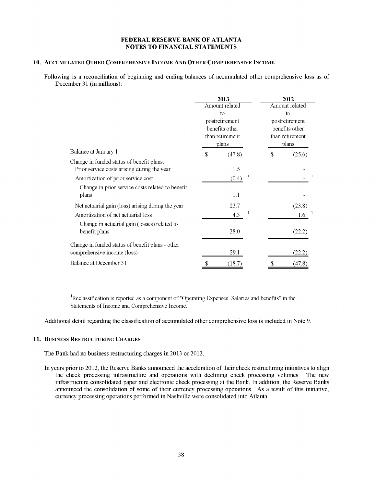#### **10. ACCUMULATED OTHER COMPREHENSIVE INCOME AND OTHER COMPREHENSIVE INCOME**

Following is a reconciliation of beginning and ending balances of accumulated other comprehensive loss as of December 31 (in millions):

|                                                                                          | 2013<br>Amount related                              |              | 2012<br>Amount related                              |
|------------------------------------------------------------------------------------------|-----------------------------------------------------|--------------|-----------------------------------------------------|
|                                                                                          | to                                                  |              | to                                                  |
|                                                                                          | postretirement<br>benefits other<br>than retirement |              | postretirement<br>benefits other<br>than retirement |
|                                                                                          | plans                                               |              | plans                                               |
| Balance at January 1                                                                     | \$<br>(47.8)                                        | $\mathbb{S}$ | (25.6)                                              |
| Change in funded status of benefit plans:<br>Prior service costs arising during the year | 1.5                                                 |              |                                                     |
| Amortization of prior service cost                                                       | (0.4)                                               |              |                                                     |
| Change in prior service costs related to benefit<br>plans                                | 1.1                                                 |              |                                                     |
| Net actuarial gain (loss) arising during the year                                        | 23.7                                                |              | (23.8)                                              |
| Amortization of net actuarial loss                                                       | 4.3                                                 |              | 1.6                                                 |
| Change in actuarial gain (losses) related to<br>benefit plans                            | 28.0                                                |              | (22.2)                                              |
| Change in funded status of benefit plans - other<br>comprehensive income (loss)          | 29.1                                                |              | (22.2)                                              |
| Balance at December 31                                                                   | \$<br>(18.7)                                        | \$           | (47.8)                                              |

<sup>1</sup>Reclassification is reported as a component of "Operating Expenses: Salaries and benefits" in the Statements of Income and Comprehensive Income.

Additional detail regarding the classification of accumulated other comprehensive loss is included in Note 9.

### **11. BUSINESS RESTRUCTURING CHARGES**

The Bank had no business restructuring charges in 2013 or 2012.

In years prior to 2012, the Reserve Banks announced the acceleration of their check restructuring initiatives to align the check processing infrastructure and operations with declining check processing volumes. The new infrastructure consolidated paper and electronic check processing at the Bank. In addition, the Reserve Banks announced the consolidation of some of their currency processing operations. As a result of this initiative, currency processing operations performed in Nashville were consolidated into Atlanta.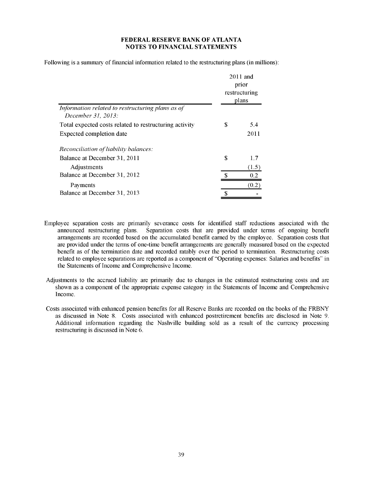Following is a summary of financial information related to the restructuring plans (in millions):

|                                                                        | $2011$ and<br>prior<br>restructuring<br>plans |       |
|------------------------------------------------------------------------|-----------------------------------------------|-------|
| Information related to restructuring plans as of<br>December 31, 2013: |                                               |       |
| Total expected costs related to restructuring activity                 | S                                             | 5.4   |
| Expected completion date                                               |                                               | 2011  |
| Reconciliation of liability balances:                                  |                                               |       |
| Balance at December 31, 2011                                           | \$                                            | 1.7   |
| Adjustments                                                            |                                               | (1.5) |
| Balance at December 31, 2012                                           |                                               | 0.2   |
| Payments                                                               |                                               | (0.2) |
| Balance at December 31, 2013                                           |                                               |       |

- Employee separation costs are primarily severance costs for identified staff reductions associated with the announced restructuring plans. Separation costs that are provided under terms of ongoing benefit arrangements are recorded based on the accumulated benefit earned by the employee. Separation costs that are provided under the terms of one-time benefit arrangements are generally measured based on the expected benefit as of the termination date and recorded ratably over the period to termination. Restructuring costs related to employee separations are reported as a component of "Operating expenses: Salaries and benefits" in the Statements of Income and Comprehensive Income.
- Adjustments to the accrued liability are primarily due to changes in the estimated restructuring costs and are shown as a component of the appropriate expense category in the Statements of Income and Comprehensive Income.
- Costs associated with enhanced pension benefits for all Reserve Banks are recorded on the books of the FRBNY as discussed in Note 8. Costs associated with enhanced postretirement benefits are disclosed in Note 9. Additional information regarding the Nashville building sold as a result of the currency processing restructuring is discussed in Note 6.